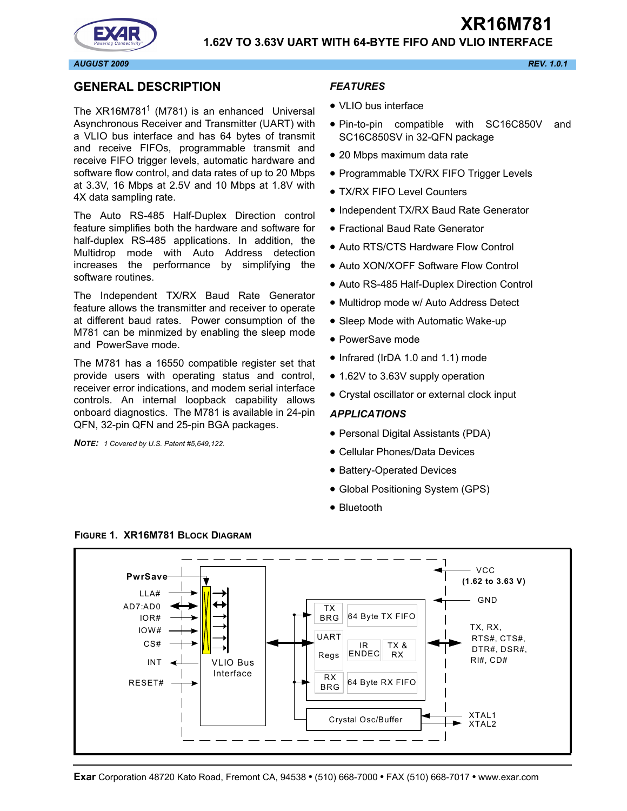# **1.62V TO 3.63V UART WITH 64-BYTE FIFO AND VLIO INTERFACE**

**XR16M781**

*AUGUST 2009 REV. 1.0.1*

#### <span id="page-0-1"></span>**GENERAL DESCRIPTION**

The  $XR16M781<sup>1</sup>$  (M781) is an enhanced Universal Asynchronous Receiver and Transmitter (UART) with a VLIO bus interface and has 64 bytes of transmit and receive FIFOs, programmable transmit and receive FIFO trigger levels, automatic hardware and software flow control, and data rates of up to 20 Mbps at 3.3V, 16 Mbps at 2.5V and 10 Mbps at 1.8V with 4X data sampling rate.

The Auto RS-485 Half-Duplex Direction control feature simplifies both the hardware and software for half-duplex RS-485 applications. In addition, the Multidrop mode with Auto Address detection increases the performance by simplifying the software routines.

The Independent TX/RX Baud Rate Generator feature allows the transmitter and receiver to operate at different baud rates. Power consumption of the M781 can be minmized by enabling the sleep mode and PowerSave mode.

The M781 has a 16550 compatible register set that provide users with operating status and control, receiver error indications, and modem serial interface controls. An internal loopback capability allows onboard diagnostics. The M781 is available in 24-pin QFN, 32-pin QFN and 25-pin BGA packages.

*NOTE: 1 Covered by U.S. Patent #5,649,122.*

#### *FEATURES*

- VLIO bus interface
- Pin-to-pin compatible with SC16C850V and SC16C850SV in 32-QFN package
- 20 Mbps maximum data rate
- Programmable TX/RX FIFO Trigger Levels
- TX/RX FIFO Level Counters
- Independent TX/RX Baud Rate Generator
- Fractional Baud Rate Generator
- Auto RTS/CTS Hardware Flow Control
- Auto XON/XOFF Software Flow Control
- Auto RS-485 Half-Duplex Direction Control
- Multidrop mode w/ Auto Address Detect
- Sleep Mode with Automatic Wake-up
- PowerSave mode
- Infrared (IrDA 1.0 and 1.1) mode
- 1.62V to 3.63V supply operation
- Crystal oscillator or external clock input

#### *APPLICATIONS*

- Personal Digital Assistants (PDA)
- Cellular Phones/Data Devices
- Battery-Operated Devices
- Global Positioning System (GPS)
- Bluetooth



#### <span id="page-0-0"></span>**FIGURE 1. XR16M781 BLOCK DIAGRAM**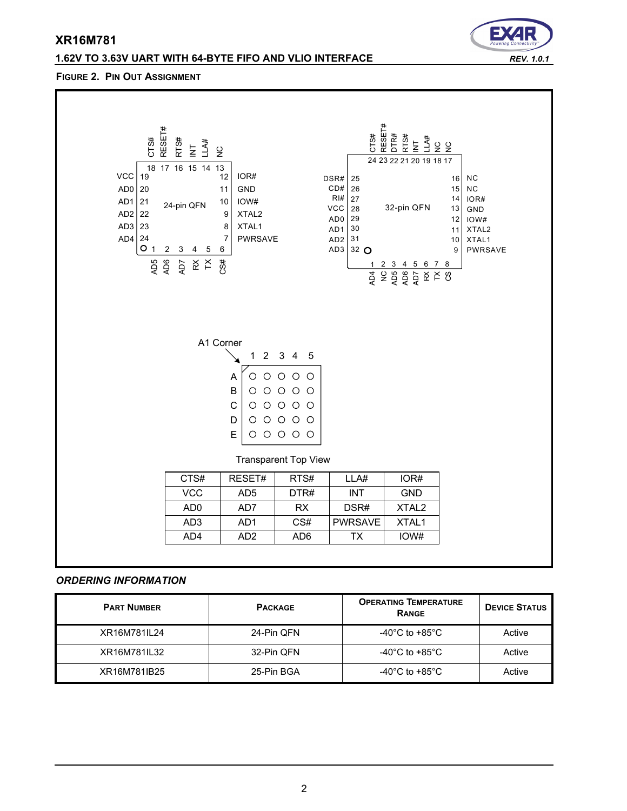# **1.62V TO 3.63V UART WITH 64-BYTE FIFO AND VLIO INTERFACE** *REV. 1.0.1*

#### **FIGURE 2. PIN OUT ASSIGNMENT**



#### *ORDERING INFORMATION*

| <b>PART NUMBER</b> | <b>PACKAGE</b> | <b>OPERATING TEMPERATURE</b><br><b>RANGE</b> | <b>DEVICE STATUS</b> |
|--------------------|----------------|----------------------------------------------|----------------------|
| XR16M781IL24       | 24-Pin QFN     | -40 $^{\circ}$ C to +85 $^{\circ}$ C         | Active               |
| XR16M781IL32       | 32-Pin QFN     | -40 $^{\circ}$ C to +85 $^{\circ}$ C         | Active               |
| XR16M781IB25       | 25-Pin BGA     | -40 $^{\circ}$ C to +85 $^{\circ}$ C         | Active               |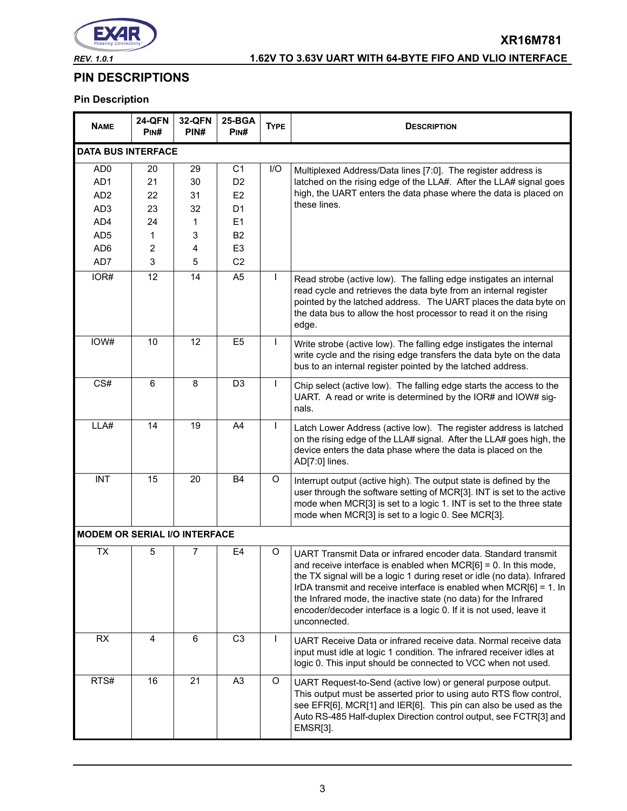

# *REV. 1.0.1* **1.62V TO 3.63V UART WITH 64-BYTE FIFO AND VLIO INTERFACE**

**XR16M781**

# **PIN DESCRIPTIONS**

# **Pin Description**

| <b>NAME</b>                          | <b>24-QFN</b><br>PIN#   | <b>32-QFN</b><br>PIN# | 25-BGA<br>PIN# | <b>TYPE</b>  | <b>DESCRIPTION</b>                                                                                                                                                                                                                                                                                                                                                                                                                                   |  |
|--------------------------------------|-------------------------|-----------------------|----------------|--------------|------------------------------------------------------------------------------------------------------------------------------------------------------------------------------------------------------------------------------------------------------------------------------------------------------------------------------------------------------------------------------------------------------------------------------------------------------|--|
| <b>DATA BUS INTERFACE</b>            |                         |                       |                |              |                                                                                                                                                                                                                                                                                                                                                                                                                                                      |  |
| AD <sub>0</sub>                      | 20                      | 29                    | C <sub>1</sub> | I/O          | Multiplexed Address/Data lines [7:0]. The register address is                                                                                                                                                                                                                                                                                                                                                                                        |  |
| AD1                                  | 21                      | 30                    | D <sub>2</sub> |              | latched on the rising edge of the LLA#. After the LLA# signal goes                                                                                                                                                                                                                                                                                                                                                                                   |  |
| AD <sub>2</sub>                      | 22                      | 31                    | E2             |              | high, the UART enters the data phase where the data is placed on                                                                                                                                                                                                                                                                                                                                                                                     |  |
| AD <sub>3</sub>                      | 23                      | 32                    | D <sub>1</sub> |              | these lines.                                                                                                                                                                                                                                                                                                                                                                                                                                         |  |
| AD4                                  | 24                      | 1                     | E1             |              |                                                                                                                                                                                                                                                                                                                                                                                                                                                      |  |
| AD <sub>5</sub>                      | 1                       | 3                     | B <sub>2</sub> |              |                                                                                                                                                                                                                                                                                                                                                                                                                                                      |  |
| AD <sub>6</sub>                      | 2                       | 4                     | E <sub>3</sub> |              |                                                                                                                                                                                                                                                                                                                                                                                                                                                      |  |
| AD7                                  | 3                       | 5                     | C <sub>2</sub> |              |                                                                                                                                                                                                                                                                                                                                                                                                                                                      |  |
| IOR#                                 | 12                      | 14                    | A <sub>5</sub> |              | Read strobe (active low). The falling edge instigates an internal<br>read cycle and retrieves the data byte from an internal register<br>pointed by the latched address. The UART places the data byte on<br>the data bus to allow the host processor to read it on the rising<br>edge.                                                                                                                                                              |  |
| IOW#                                 | 10                      | 12                    | E <sub>5</sub> | $\mathbf{I}$ | Write strobe (active low). The falling edge instigates the internal<br>write cycle and the rising edge transfers the data byte on the data<br>bus to an internal register pointed by the latched address.                                                                                                                                                                                                                                            |  |
| CS#                                  | 6                       | 8                     | D <sub>3</sub> | I            | Chip select (active low). The falling edge starts the access to the<br>UART. A read or write is determined by the IOR# and IOW# sig-<br>nals.                                                                                                                                                                                                                                                                                                        |  |
| LLA#                                 | 14                      | 19                    | A4             | $\mathbf{I}$ | Latch Lower Address (active low). The register address is latched<br>on the rising edge of the LLA# signal. After the LLA# goes high, the<br>device enters the data phase where the data is placed on the<br>AD[7:0] lines.                                                                                                                                                                                                                          |  |
| <b>INT</b>                           | 15                      | 20                    | <b>B4</b>      | O            | Interrupt output (active high). The output state is defined by the<br>user through the software setting of MCR[3]. INT is set to the active<br>mode when MCR[3] is set to a logic 1. INT is set to the three state<br>mode when MCR[3] is set to a logic 0. See MCR[3].                                                                                                                                                                              |  |
| <b>MODEM OR SERIAL I/O INTERFACE</b> |                         |                       |                |              |                                                                                                                                                                                                                                                                                                                                                                                                                                                      |  |
| <b>TX</b>                            | 5                       | 7                     | E4             | O            | UART Transmit Data or infrared encoder data. Standard transmit<br>and receive interface is enabled when $MCR[6] = 0$ . In this mode,<br>the TX signal will be a logic 1 during reset or idle (no data). Infrared<br>IrDA transmit and receive interface is enabled when $MCR[6] = 1$ . In<br>the Infrared mode, the inactive state (no data) for the Infrared<br>encoder/decoder interface is a logic 0. If it is not used, leave it<br>unconnected. |  |
| RX                                   | $\overline{\mathbf{4}}$ | 6                     | C <sub>3</sub> | $\mathbf{I}$ | UART Receive Data or infrared receive data. Normal receive data<br>input must idle at logic 1 condition. The infrared receiver idles at<br>logic 0. This input should be connected to VCC when not used.                                                                                                                                                                                                                                             |  |
| RTS#                                 | 16                      | 21                    | A <sub>3</sub> | O            | UART Request-to-Send (active low) or general purpose output.<br>This output must be asserted prior to using auto RTS flow control,<br>see EFR[6], MCR[1] and IER[6]. This pin can also be used as the<br>Auto RS-485 Half-duplex Direction control output, see FCTR[3] and<br>EMSR[3].                                                                                                                                                               |  |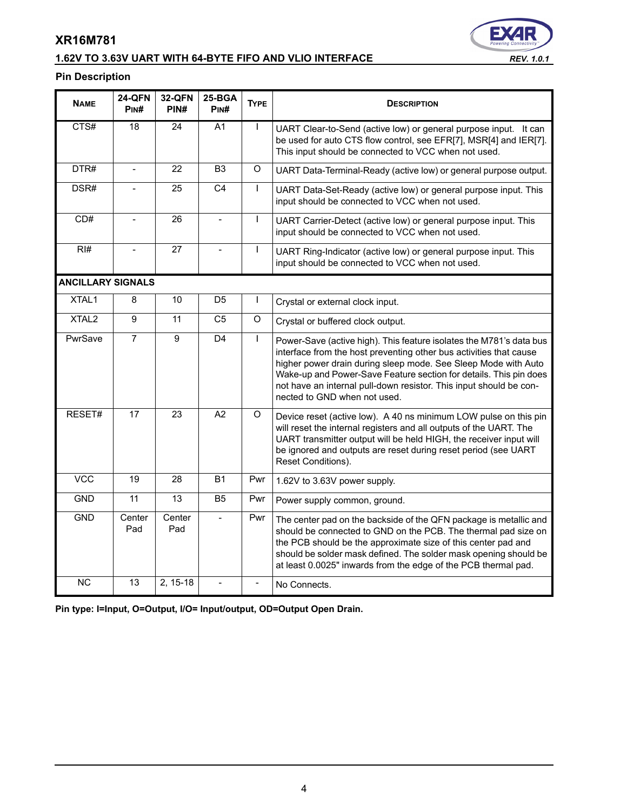# **1.62V TO 3.63V UART WITH 64-BYTE FIFO AND VLIO INTERFACE** *REV. 1.0.1*



#### **Pin Description**

| <b>NAME</b>              | <b>24-QFN</b><br>PIN# | <b>32-QFN</b><br>PIN# | 25-BGA<br>PINH | <b>TYPE</b>  | <b>DESCRIPTION</b>                                                                                                                                                                                                                                                                                                                                                                     |
|--------------------------|-----------------------|-----------------------|----------------|--------------|----------------------------------------------------------------------------------------------------------------------------------------------------------------------------------------------------------------------------------------------------------------------------------------------------------------------------------------------------------------------------------------|
| CTS#                     | 18                    | 24                    | A <sub>1</sub> | $\mathbf{I}$ | UART Clear-to-Send (active low) or general purpose input. It can<br>be used for auto CTS flow control, see EFR[7], MSR[4] and IER[7].<br>This input should be connected to VCC when not used.                                                                                                                                                                                          |
| DTR#                     | $\overline{a}$        | 22                    | B <sub>3</sub> | O            | UART Data-Terminal-Ready (active low) or general purpose output.                                                                                                                                                                                                                                                                                                                       |
| DSR#                     |                       | 25                    | C <sub>4</sub> | $\mathbf{I}$ | UART Data-Set-Ready (active low) or general purpose input. This<br>input should be connected to VCC when not used.                                                                                                                                                                                                                                                                     |
| CD#                      |                       | 26                    |                | $\mathbf{I}$ | UART Carrier-Detect (active low) or general purpose input. This<br>input should be connected to VCC when not used.                                                                                                                                                                                                                                                                     |
| RI#                      |                       | 27                    | $\equiv$       | $\mathbf{I}$ | UART Ring-Indicator (active low) or general purpose input. This<br>input should be connected to VCC when not used.                                                                                                                                                                                                                                                                     |
| <b>ANCILLARY SIGNALS</b> |                       |                       |                |              |                                                                                                                                                                                                                                                                                                                                                                                        |
| XTAL <sub>1</sub>        | 8                     | 10                    | D <sub>5</sub> | $\mathbf{I}$ | Crystal or external clock input.                                                                                                                                                                                                                                                                                                                                                       |
| XTAL <sub>2</sub>        | 9                     | 11                    | C <sub>5</sub> | O            | Crystal or buffered clock output.                                                                                                                                                                                                                                                                                                                                                      |
| PwrSave                  | $\overline{7}$        | 9                     | D <sub>4</sub> | $\mathbf{I}$ | Power-Save (active high). This feature isolates the M781's data bus<br>interface from the host preventing other bus activities that cause<br>higher power drain during sleep mode. See Sleep Mode with Auto<br>Wake-up and Power-Save Feature section for details. This pin does<br>not have an internal pull-down resistor. This input should be con-<br>nected to GND when not used. |
| RESET#                   | $\overline{17}$       | 23                    | A2             | $\circ$      | Device reset (active low). A 40 ns minimum LOW pulse on this pin<br>will reset the internal registers and all outputs of the UART. The<br>UART transmitter output will be held HIGH, the receiver input will<br>be ignored and outputs are reset during reset period (see UART<br>Reset Conditions).                                                                                   |
| <b>VCC</b>               | 19                    | 28                    | <b>B1</b>      | Pwr          | 1.62V to 3.63V power supply.                                                                                                                                                                                                                                                                                                                                                           |
| <b>GND</b>               | 11                    | 13                    | <b>B5</b>      | Pwr          | Power supply common, ground.                                                                                                                                                                                                                                                                                                                                                           |
| <b>GND</b>               | Center<br>Pad         | Center<br>Pad         |                | Pwr          | The center pad on the backside of the QFN package is metallic and<br>should be connected to GND on the PCB. The thermal pad size on<br>the PCB should be the approximate size of this center pad and<br>should be solder mask defined. The solder mask opening should be<br>at least 0.0025" inwards from the edge of the PCB thermal pad.                                             |
| <b>NC</b>                | 13                    | 2, 15-18              |                |              | No Connects.                                                                                                                                                                                                                                                                                                                                                                           |

**Pin type: I=Input, O=Output, I/O= Input/output, OD=Output Open Drain.**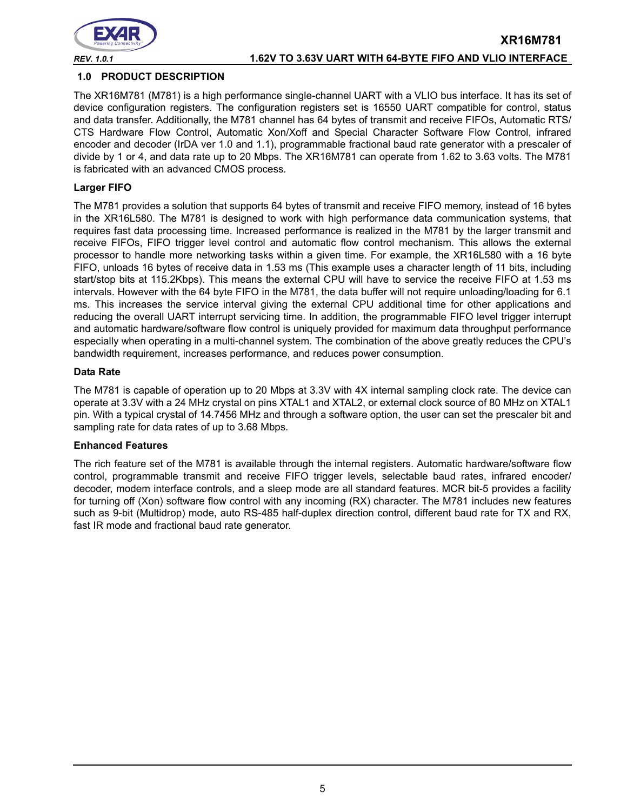

*REV. 1.0.1* **1.62V TO 3.63V UART WITH 64-BYTE FIFO AND VLIO INTERFACE**

**XR16M781**

#### **1.0 PRODUCT DESCRIPTION**

The XR16M781 (M781) is a high performance single-channel UART with a VLIO bus interface. It has its set of device configuration registers. The configuration registers set is 16550 UART compatible for control, status and data transfer. Additionally, the M781 channel has 64 bytes of transmit and receive FIFOs, Automatic RTS/ CTS Hardware Flow Control, Automatic Xon/Xoff and Special Character Software Flow Control, infrared encoder and decoder (IrDA ver 1.0 and 1.1), programmable fractional baud rate generator with a prescaler of divide by 1 or 4, and data rate up to 20 Mbps. The XR16M781 can operate from 1.62 to 3.63 volts. The M781 is fabricated with an advanced CMOS process.

#### **Larger FIFO**

The M781 provides a solution that supports 64 bytes of transmit and receive FIFO memory, instead of 16 bytes in the XR16L580. The M781 is designed to work with high performance data communication systems, that requires fast data processing time. Increased performance is realized in the M781 by the larger transmit and receive FIFOs, FIFO trigger level control and automatic flow control mechanism. This allows the external processor to handle more networking tasks within a given time. For example, the XR16L580 with a 16 byte FIFO, unloads 16 bytes of receive data in 1.53 ms (This example uses a character length of 11 bits, including start/stop bits at 115.2Kbps). This means the external CPU will have to service the receive FIFO at 1.53 ms intervals. However with the 64 byte FIFO in the M781, the data buffer will not require unloading/loading for 6.1 ms. This increases the service interval giving the external CPU additional time for other applications and reducing the overall UART interrupt servicing time. In addition, the programmable FIFO level trigger interrupt and automatic hardware/software flow control is uniquely provided for maximum data throughput performance especially when operating in a multi-channel system. The combination of the above greatly reduces the CPU's bandwidth requirement, increases performance, and reduces power consumption.

#### **Data Rate**

The M781 is capable of operation up to 20 Mbps at 3.3V with 4X internal sampling clock rate. The device can operate at 3.3V with a 24 MHz crystal on pins XTAL1 and XTAL2, or external clock source of 80 MHz on XTAL1 pin. With a typical crystal of 14.7456 MHz and through a software option, the user can set the prescaler bit and sampling rate for data rates of up to 3.68 Mbps.

#### **Enhanced Features**

The rich feature set of the M781 is available through the internal registers. Automatic hardware/software flow control, programmable transmit and receive FIFO trigger levels, selectable baud rates, infrared encoder/ decoder, modem interface controls, and a sleep mode are all standard features. MCR bit-5 provides a facility for turning off (Xon) software flow control with any incoming (RX) character. The M781 includes new features such as 9-bit (Multidrop) mode, auto RS-485 half-duplex direction control, different baud rate for TX and RX, fast IR mode and fractional baud rate generator.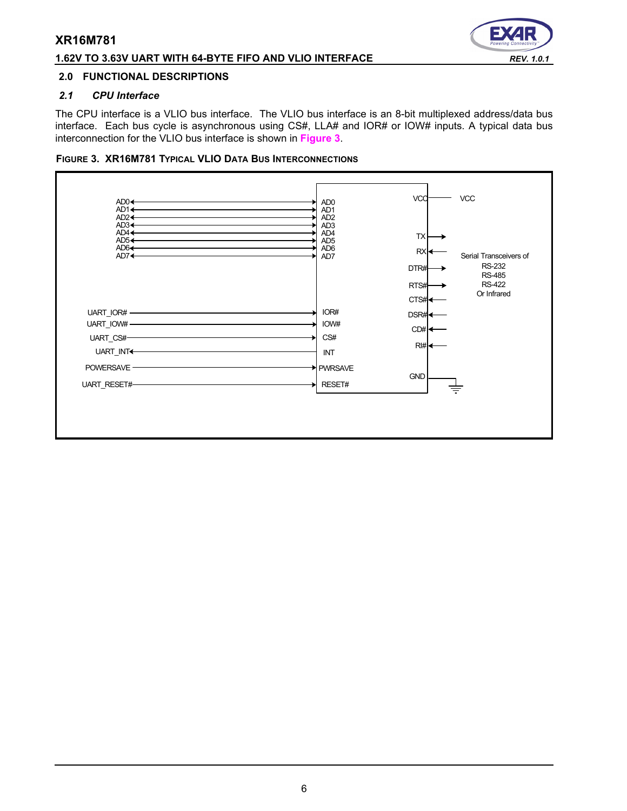#### **1.62V TO 3.63V UART WITH 64-BYTE FIFO AND VLIO INTERFACE** *REV. 1.0.1*

# Е

#### **2.0 FUNCTIONAL DESCRIPTIONS**

#### *2.1 CPU Interface*

The CPU interface is a VLIO bus interface. The VLIO bus interface is an 8-bit multiplexed address/data bus interface. Each bus cycle is asynchronous using CS#, LLA# and IOR# or IOW# inputs. A typical data bus interconnection for the VLIO bus interface is shown in **[Figure](#page-5-0) 3**.

#### <span id="page-5-0"></span>**FIGURE 3. XR16M781 TYPICAL VLIO DATA BUS INTERCONNECTIONS**

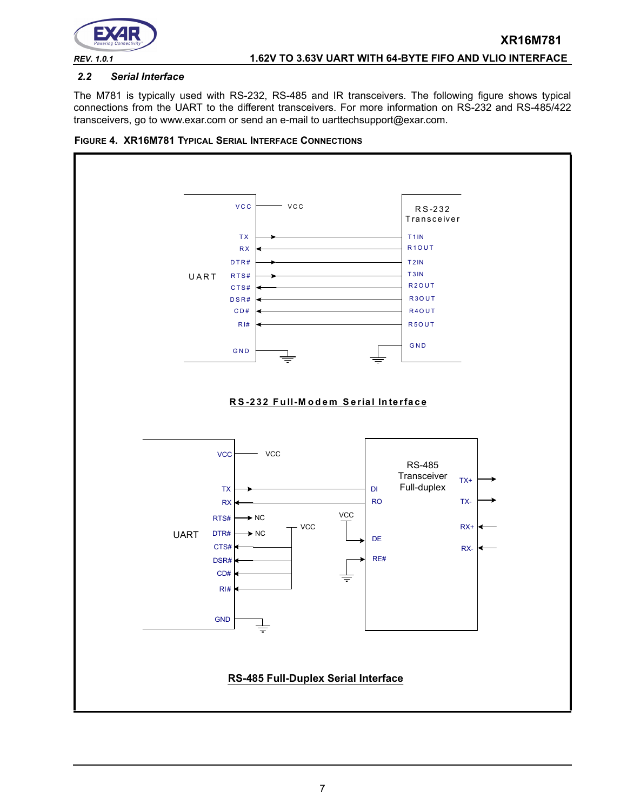

#### *2.2 Serial Interface*

The M781 is typically used with RS-232, RS-485 and IR transceivers. The following figure shows typical connections from the UART to the different transceivers. For more information on RS-232 and RS-485/422 transceivers, go to www.exar.com or send an e-mail to uarttechsupport@exar.com.



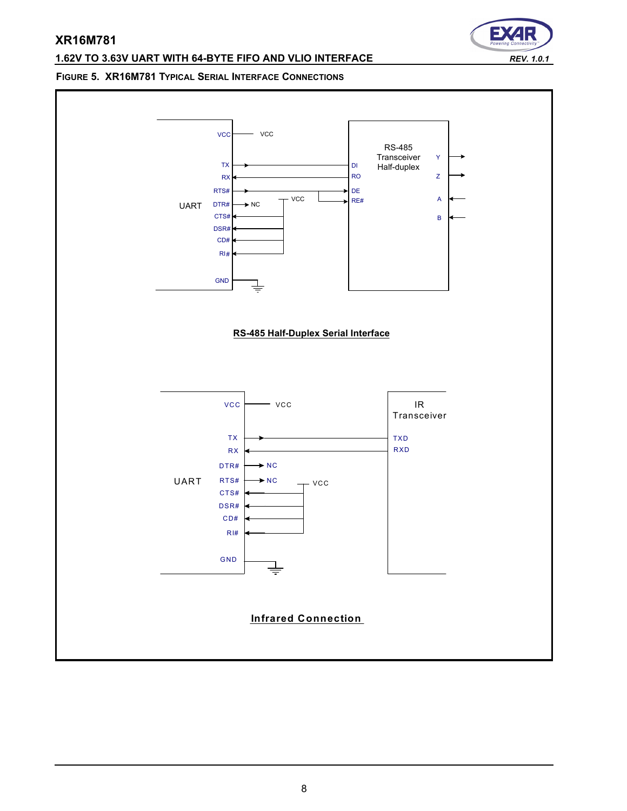# **1.62V TO 3.63V UART WITH 64-BYTE FIFO AND VLIO INTERFACE** *REV. 1.0.1*

Е

#### **FIGURE 5. XR16M781 TYPICAL SERIAL INTERFACE CONNECTIONS**

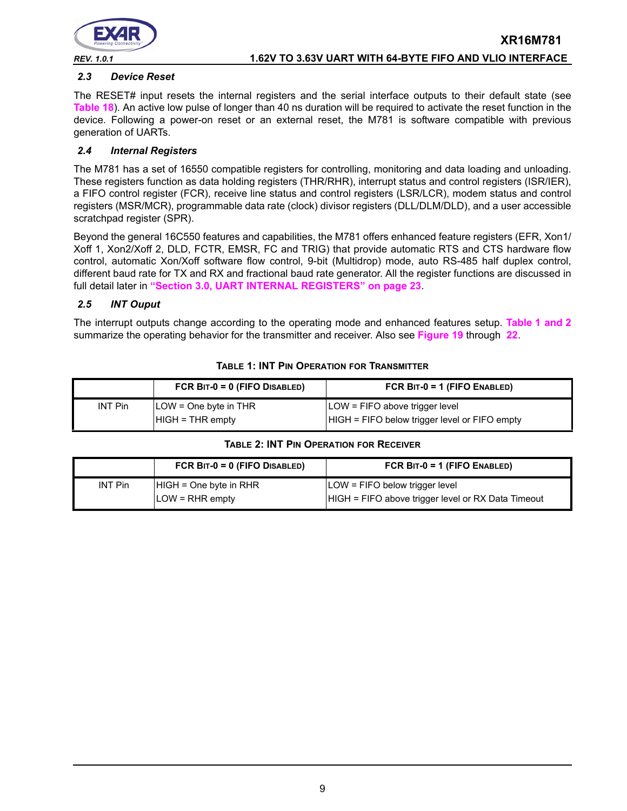

*REV. 1.0.1* **1.62V TO 3.63V UART WITH 64-BYTE FIFO AND VLIO INTERFACE**

**XR16M781**

#### *2.3 Device Reset*

The RESET# input resets the internal registers and the serial interface outputs to their default state (see **[Table](#page-41-0) 18**). An active low pulse of longer than 40 ns duration will be required to activate the reset function in the device. Following a power-on reset or an external reset, the M781 is software compatible with previous generation of UARTs.

#### *2.4 Internal Registers*

The M781 has a set of 16550 compatible registers for controlling, monitoring and data loading and unloading. These registers function as data holding registers (THR/RHR), interrupt status and control registers (ISR/IER), a FIFO control register (FCR), receive line status and control registers (LSR/LCR), modem status and control registers (MSR/MCR), programmable data rate (clock) divisor registers (DLL/DLM/DLD), and a user accessible scratchpad register (SPR).

Beyond the general 16C550 features and capabilities, the M781 offers enhanced feature registers (EFR, Xon1/ Xoff 1, Xon2/Xoff 2, DLD, FCTR, EMSR, FC and TRIG) that provide automatic RTS and CTS hardware flow control, automatic Xon/Xoff software flow control, 9-bit (Multidrop) mode, auto RS-485 half duplex control, different baud rate for TX and RX and fractional baud rate generator. All the register functions are discussed in full detail later in **["Section 3.0, UART INTERNAL REGISTERS" on page](#page-22-0) 23**.

#### *2.5 INT Ouput*

The interrupt outputs change according to the operating mode and enhanced features setup. **[Table](#page-8-0) 1 [and](#page-8-1) 2** summarize the operating behavior for the transmitter and receiver. Also see **[Figure](#page-46-0) 19** through **[22](#page-47-0)**.

<span id="page-8-0"></span>

|                | FCR $BIT-0 = 0$ (FIFO DISABLED)                      | FCR $BIT-0 = 1$ (FIFO ENABLED)                                                  |
|----------------|------------------------------------------------------|---------------------------------------------------------------------------------|
| <b>INT Pin</b> | $\angle$ LOW = One byte in THR<br>$HIGH = THR$ empty | LOW = FIFO above trigger level<br>HIGH = FIFO below trigger level or FIFO empty |

#### **TABLE 1: INT PIN OPERATION FOR TRANSMITTER**

#### **TABLE 2: INT PIN OPERATION FOR RECEIVER**

<span id="page-8-1"></span>

|                | FCR $BIT-0 = 0$ (FIFO DISABLED) | FCR $BIT-0 = 1$ (FIFO ENABLED)                     |
|----------------|---------------------------------|----------------------------------------------------|
| <b>INT Pin</b> | $HIGH = One byte in RHR$        | LOW = FIFO below trigger level                     |
|                | $LOW = RHR$ empty               | HIGH = FIFO above trigger level or RX Data Timeout |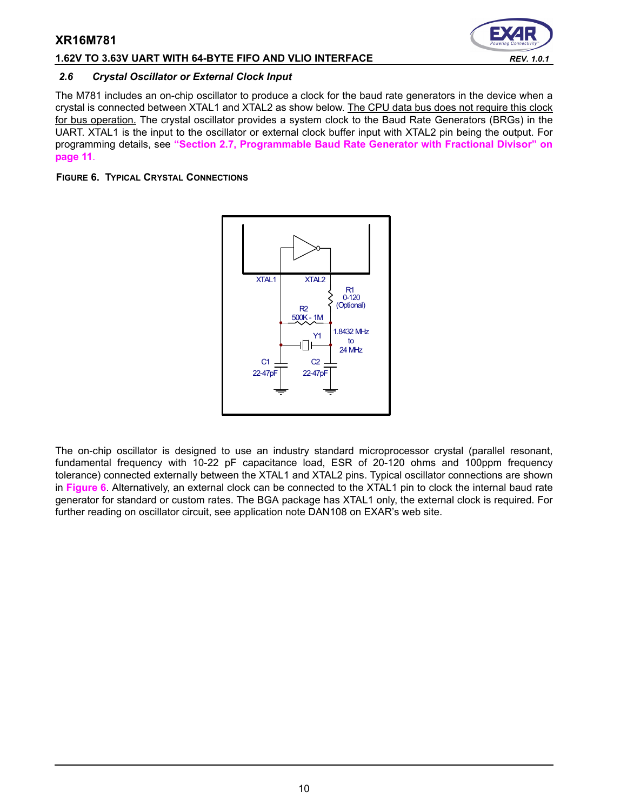#### **1.62V TO 3.63V UART WITH 64-BYTE FIFO AND VLIO INTERFACE** *REV. 1.0.1*

#### *2.6 Crystal Oscillator or External Clock Input*

The M781 includes an on-chip oscillator to produce a clock for the baud rate generators in the device when a crystal is connected between XTAL1 and XTAL2 as show below. The CPU data bus does not require this clock for bus operation. The crystal oscillator provides a system clock to the Baud Rate Generators (BRGs) in the UART. XTAL1 is the input to the oscillator or external clock buffer input with XTAL2 pin being the output. For programming details, see **["Section 2.7, Programmable Baud Rate Generator with Fractional Divisor" on](#page-10-0)  [page](#page-10-0) 11**.

## <span id="page-9-0"></span>**FIGURE 6. TYPICAL CRYSTAL CONNECTIONS**



The on-chip oscillator is designed to use an industry standard microprocessor crystal (parallel resonant, fundamental frequency with 10-22 pF capacitance load, ESR of 20-120 ohms and 100ppm frequency tolerance) connected externally between the XTAL1 and XTAL2 pins. Typical oscillator connections are shown in **[Figure](#page-9-0) 6**. Alternatively, an external clock can be connected to the XTAL1 pin to clock the internal baud rate generator for standard or custom rates. The BGA package has XTAL1 only, the external clock is required. For further reading on oscillator circuit, see application note DAN108 on EXAR's web site.

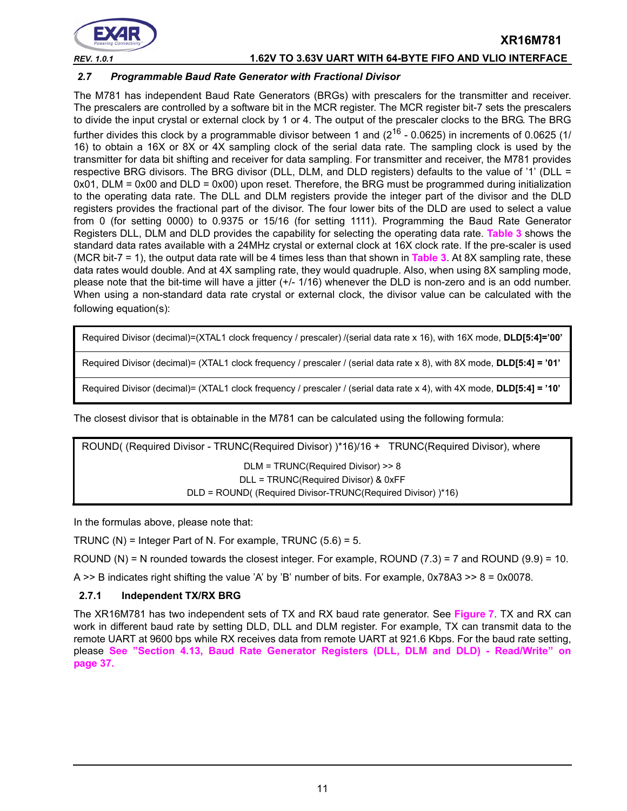

## *REV. 1.0.1* **1.62V TO 3.63V UART WITH 64-BYTE FIFO AND VLIO INTERFACE**

**XR16M781**

#### <span id="page-10-0"></span>*2.7 Programmable Baud Rate Generator with Fractional Divisor*

The M781 has independent Baud Rate Generators (BRGs) with prescalers for the transmitter and receiver. The prescalers are controlled by a software bit in the MCR register. The MCR register bit-7 sets the prescalers to divide the input crystal or external clock by 1 or 4. The output of the prescaler clocks to the BRG. The BRG further divides this clock by a programmable divisor between 1 and  $(2^{16} - 0.0625)$  in increments of 0.0625 (1/ 16) to obtain a 16X or 8X or 4X sampling clock of the serial data rate. The sampling clock is used by the transmitter for data bit shifting and receiver for data sampling. For transmitter and receiver, the M781 provides respective BRG divisors. The BRG divisor (DLL, DLM, and DLD registers) defaults to the value of '1' (DLL =  $0x01$ , DLM =  $0x00$  and DLD =  $0x00$ ) upon reset. Therefore, the BRG must be programmed during initialization to the operating data rate. The DLL and DLM registers provide the integer part of the divisor and the DLD registers provides the fractional part of the divisor. The four lower bits of the DLD are used to select a value from 0 (for setting 0000) to 0.9375 or 15/16 (for setting 1111). Programming the Baud Rate Generator Registers DLL, DLM and DLD provides the capability for selecting the operating data rate. **[Table](#page-11-1) 3** shows the standard data rates available with a 24MHz crystal or external clock at 16X clock rate. If the pre-scaler is used (MCR bit-7 = 1), the output data rate will be 4 times less than that shown in **[Table](#page-11-1) 3**. At 8X sampling rate, these data rates would double. And at 4X sampling rate, they would quadruple. Also, when using 8X sampling mode, please note that the bit-time will have a jitter (+/- 1/16) whenever the DLD is non-zero and is an odd number. When using a non-standard data rate crystal or external clock, the divisor value can be calculated with the following equation(s):

Required Divisor (decimal)=(XTAL1 clock frequency / prescaler) /(serial data rate x 16), with 16X mode, **DLD[5:4]='00'**

Required Divisor (decimal)= (XTAL1 clock frequency / prescaler / (serial data rate x 8), with 8X mode, **DLD[5:4] = '01'**

Required Divisor (decimal)= (XTAL1 clock frequency / prescaler / (serial data rate x 4), with 4X mode, **DLD[5:4] = '10'**

The closest divisor that is obtainable in the M781 can be calculated using the following formula:

ROUND( (Required Divisor - TRUNC(Required Divisor) )\*16)/16 + TRUNC(Required Divisor), where DLM = TRUNC(Required Divisor) >> 8 DLL = TRUNC(Required Divisor) & 0xFF DLD = ROUND( (Required Divisor-TRUNC(Required Divisor) )\*16)

In the formulas above, please note that:

TRUNC (N) = Integer Part of N. For example, TRUNC  $(5.6) = 5$ .

ROUND (N) = N rounded towards the closest integer. For example, ROUND (7.3) = 7 and ROUND (9.9) = 10.

A  $\geq$  B indicates right shifting the value 'A' by 'B' number of bits. For example, 0x78A3  $\geq$  8 = 0x0078.

#### **2.7.1 Independent TX/RX BRG**

The XR16M781 has two independent sets of TX and RX baud rate generator. See **[Figure](#page-11-0) 7**. TX and RX can work in different baud rate by setting DLD, DLL and DLM register. For example, TX can transmit data to the remote UART at 9600 bps while RX receives data from remote UART at 921.6 Kbps. For the baud rate setting, please **[See "Section 4.13, Baud Rate Generator Registers \(DLL, DLM and DLD\) - Read/Write" on](#page-36-0)  [page](#page-36-0) 37.**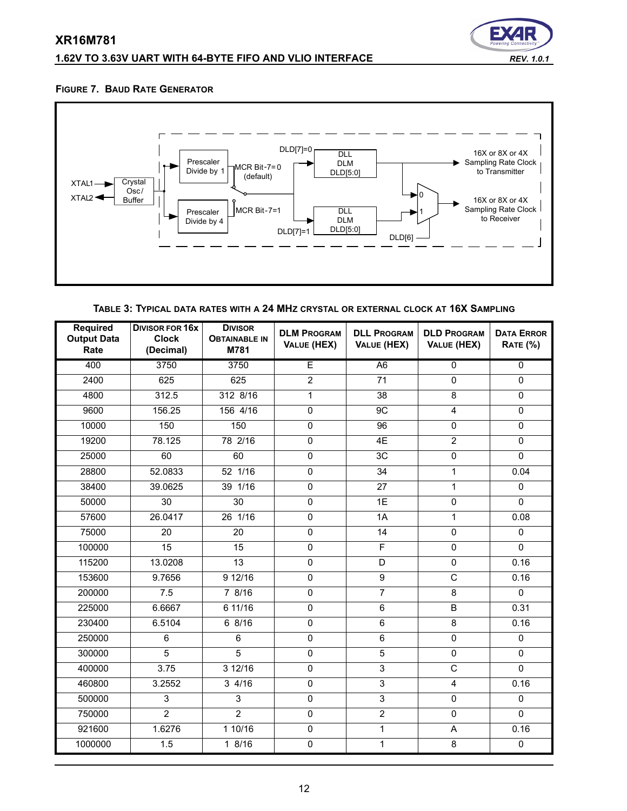# **1.62V TO 3.63V UART WITH 64-BYTE FIFO AND VLIO INTERFACE** *REV. 1.0.1*



#### <span id="page-11-0"></span>**FIGURE 7. BAUD RATE GENERATOR**



**TABLE 3: TYPICAL DATA RATES WITH A 24 MHZ CRYSTAL OR EXTERNAL CLOCK AT 16X SAMPLING**

<span id="page-11-1"></span>

| <b>Required</b><br><b>Output Data</b><br>Rate | <b>DIVISOR FOR 16X</b><br><b>Clock</b><br>(Decimal) | <b>DIVISOR</b><br><b>OBTAINABLE IN</b><br>M781 | <b>DLM PROGRAM</b><br>VALUE (HEX) | <b>DLL PROGRAM</b><br><b>VALUE (HEX)</b> | <b>DLD PROGRAM</b><br>VALUE (HEX) | <b>DATA ERROR</b><br><b>RATE (%)</b> |
|-----------------------------------------------|-----------------------------------------------------|------------------------------------------------|-----------------------------------|------------------------------------------|-----------------------------------|--------------------------------------|
| 400                                           | 3750                                                | 3750                                           | Ē                                 | A <sub>6</sub>                           | $\overline{0}$                    | $\overline{0}$                       |
| 2400                                          | 625                                                 | 625                                            | $\overline{2}$                    | 71                                       | 0                                 | $\mathbf{0}$                         |
| 4800                                          | 312.5                                               | 312 8/16                                       | $\mathbf{1}$                      | 38                                       | 8                                 | 0                                    |
| 9600                                          | 156.25                                              | 156 4/16                                       | $\overline{0}$                    | 9C                                       | $\overline{4}$                    | $\overline{0}$                       |
| 10000                                         | 150                                                 | 150                                            | 0                                 | 96                                       | $\pmb{0}$                         | $\pmb{0}$                            |
| 19200                                         | 78.125                                              | 78 2/16                                        | 0                                 | 4E                                       | $\overline{2}$                    | 0                                    |
| 25000                                         | 60                                                  | 60                                             | 0                                 | 3C                                       | $\pmb{0}$                         | $\mathbf 0$                          |
| 28800                                         | 52.0833                                             | 52 1/16                                        | 0                                 | 34                                       | 1                                 | 0.04                                 |
| 38400                                         | 39.0625                                             | 39 1/16                                        | $\mathbf 0$                       | 27                                       | $\mathbf{1}$                      | $\Omega$                             |
| 50000                                         | $\overline{30}$                                     | $\overline{30}$                                | $\overline{0}$                    | 1E                                       | $\overline{0}$                    | $\mathbf 0$                          |
| 57600                                         | 26.0417                                             | 26 1/16                                        | $\mathbf 0$                       | 1A                                       | 1                                 | 0.08                                 |
| 75000                                         | 20                                                  | 20                                             | $\mathbf 0$                       | 14                                       | $\mathbf 0$                       | $\Omega$                             |
| 100000                                        | $\overline{15}$                                     | $\overline{15}$                                | $\overline{0}$                    | $\overline{\mathsf{F}}$                  | $\mathbf 0$                       | $\overline{0}$                       |
| 115200                                        | 13.0208                                             | $\overline{13}$                                | $\mathbf 0$                       | D                                        | $\mathbf 0$                       | 0.16                                 |
| 153600                                        | 9.7656                                              | 9 12/16                                        | 0                                 | $\overline{9}$                           | $\overline{\text{c}}$             | 0.16                                 |
| 200000                                        | 7.5                                                 | 7 8/16                                         | $\mathbf 0$                       | $\overline{7}$                           | 8                                 | $\mathbf 0$                          |
| 225000                                        | 6.6667                                              | 6 11/16                                        | 0                                 | $\,6\,$                                  | $\sf B$                           | 0.31                                 |
| 230400                                        | 6.5104                                              | 68/16                                          | $\mathbf 0$                       | $\overline{6}$                           | 8                                 | 0.16                                 |
| 250000                                        | 6                                                   | 6                                              | $\overline{0}$                    | $\overline{6}$                           | $\overline{0}$                    | $\overline{0}$                       |
| 300000                                        | 5                                                   | $\overline{5}$                                 | $\mathbf 0$                       | $\overline{5}$                           | $\mathsf 0$                       | $\pmb{0}$                            |
| 400000                                        | 3.75                                                | 312/16                                         | $\overline{0}$                    | $\overline{3}$                           | $\overline{\mathsf{C}}$           | 0                                    |
| 460800                                        | 3.2552                                              | 34/16                                          | $\mathbf 0$                       | $\overline{3}$                           | $\overline{\mathbf{4}}$           | 0.16                                 |
| 500000                                        | 3                                                   | 3                                              | $\mathbf 0$                       | $\overline{3}$                           | $\mathsf 0$                       | $\mathbf 0$                          |
| 750000                                        | $\overline{2}$                                      | $\overline{2}$                                 | $\mathbf{0}$                      | $\overline{2}$                           | $\Omega$                          | $\Omega$                             |
| 921600                                        | 1.6276                                              | 110/16                                         | $\overline{0}$                    | $\overline{1}$                           | A                                 | 0.16                                 |
| 1000000                                       | 1.5                                                 | 18/16                                          | 0                                 | $\mathbf{1}$                             | 8                                 | $\mathsf{O}\xspace$                  |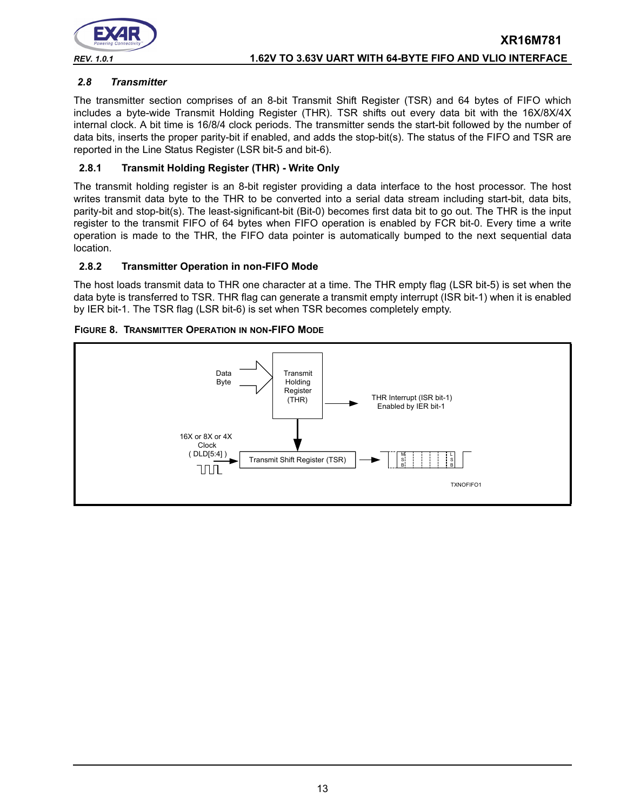

#### <span id="page-12-0"></span>*2.8 Transmitter*

The transmitter section comprises of an 8-bit Transmit Shift Register (TSR) and 64 bytes of FIFO which includes a byte-wide Transmit Holding Register (THR). TSR shifts out every data bit with the 16X/8X/4X internal clock. A bit time is 16/8/4 clock periods. The transmitter sends the start-bit followed by the number of data bits, inserts the proper parity-bit if enabled, and adds the stop-bit(s). The status of the FIFO and TSR are reported in the Line Status Register (LSR bit-5 and bit-6).

#### **2.8.1 Transmit Holding Register (THR) - Write Only**

The transmit holding register is an 8-bit register providing a data interface to the host processor. The host writes transmit data byte to the THR to be converted into a serial data stream including start-bit, data bits, parity-bit and stop-bit(s). The least-significant-bit (Bit-0) becomes first data bit to go out. The THR is the input register to the transmit FIFO of 64 bytes when FIFO operation is enabled by FCR bit-0. Every time a write operation is made to the THR, the FIFO data pointer is automatically bumped to the next sequential data location.

#### **2.8.2 Transmitter Operation in non-FIFO Mode**

The host loads transmit data to THR one character at a time. The THR empty flag (LSR bit-5) is set when the data byte is transferred to TSR. THR flag can generate a transmit empty interrupt (ISR bit-1) when it is enabled by IER bit-1. The TSR flag (LSR bit-6) is set when TSR becomes completely empty.



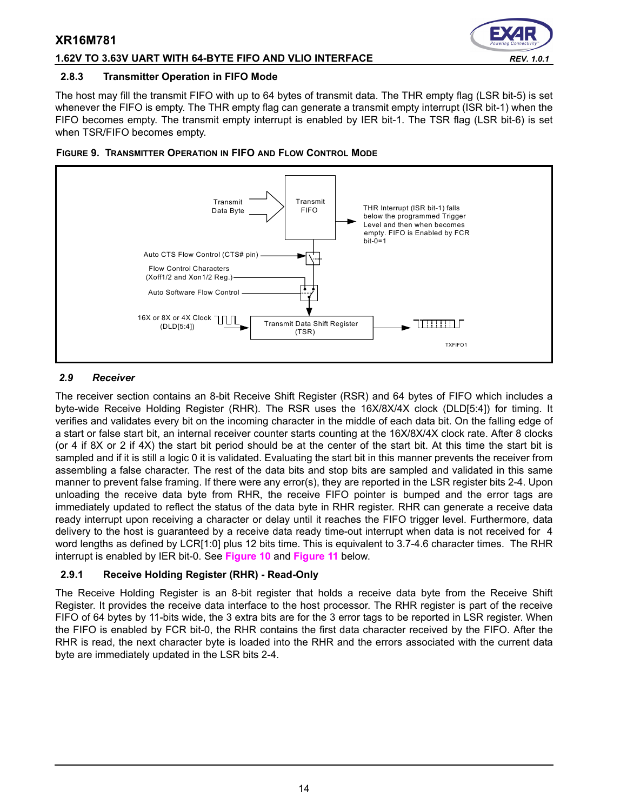#### **1.62V TO 3.63V UART WITH 64-BYTE FIFO AND VLIO INTERFACE** *REV. 1.0.1*

#### **2.8.3 Transmitter Operation in FIFO Mode**

The host may fill the transmit FIFO with up to 64 bytes of transmit data. The THR empty flag (LSR bit-5) is set whenever the FIFO is empty. The THR empty flag can generate a transmit empty interrupt (ISR bit-1) when the FIFO becomes empty. The transmit empty interrupt is enabled by IER bit-1. The TSR flag (LSR bit-6) is set when TSR/FIFO becomes empty.



#### **FIGURE 9. TRANSMITTER OPERATION IN FIFO AND FLOW CONTROL MODE**

#### <span id="page-13-0"></span>*2.9 Receiver*

The receiver section contains an 8-bit Receive Shift Register (RSR) and 64 bytes of FIFO which includes a byte-wide Receive Holding Register (RHR). The RSR uses the 16X/8X/4X clock (DLD[5:4]) for timing. It verifies and validates every bit on the incoming character in the middle of each data bit. On the falling edge of a start or false start bit, an internal receiver counter starts counting at the 16X/8X/4X clock rate. After 8 clocks (or 4 if 8X or 2 if 4X) the start bit period should be at the center of the start bit. At this time the start bit is sampled and if it is still a logic 0 it is validated. Evaluating the start bit in this manner prevents the receiver from assembling a false character. The rest of the data bits and stop bits are sampled and validated in this same manner to prevent false framing. If there were any error(s), they are reported in the LSR register bits 2-4. Upon unloading the receive data byte from RHR, the receive FIFO pointer is bumped and the error tags are immediately updated to reflect the status of the data byte in RHR register. RHR can generate a receive data ready interrupt upon receiving a character or delay until it reaches the FIFO trigger level. Furthermore, data delivery to the host is guaranteed by a receive data ready time-out interrupt when data is not received for 4 word lengths as defined by LCR[1:0] plus 12 bits time. This is equivalent to 3.7-4.6 character times. The RHR interrupt is enabled by IER bit-0. See **[Figure](#page-14-0) 10** and **[Figure](#page-14-1) 11** below.

## **2.9.1 Receive Holding Register (RHR) - Read-Only**

The Receive Holding Register is an 8-bit register that holds a receive data byte from the Receive Shift Register. It provides the receive data interface to the host processor. The RHR register is part of the receive FIFO of 64 bytes by 11-bits wide, the 3 extra bits are for the 3 error tags to be reported in LSR register. When the FIFO is enabled by FCR bit-0, the RHR contains the first data character received by the FIFO. After the RHR is read, the next character byte is loaded into the RHR and the errors associated with the current data byte are immediately updated in the LSR bits 2-4.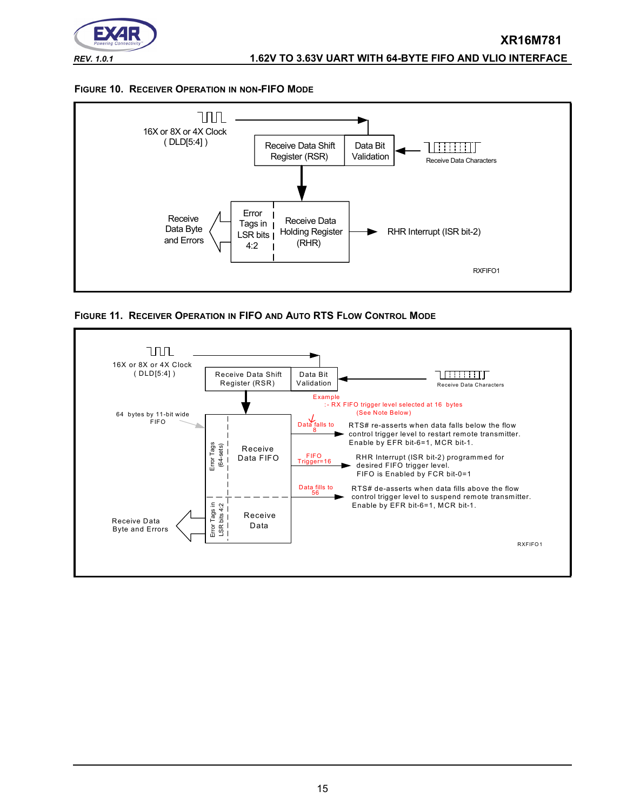

#### <span id="page-14-0"></span>**FIGURE 10. RECEIVER OPERATION IN NON-FIFO MODE**



<span id="page-14-1"></span>

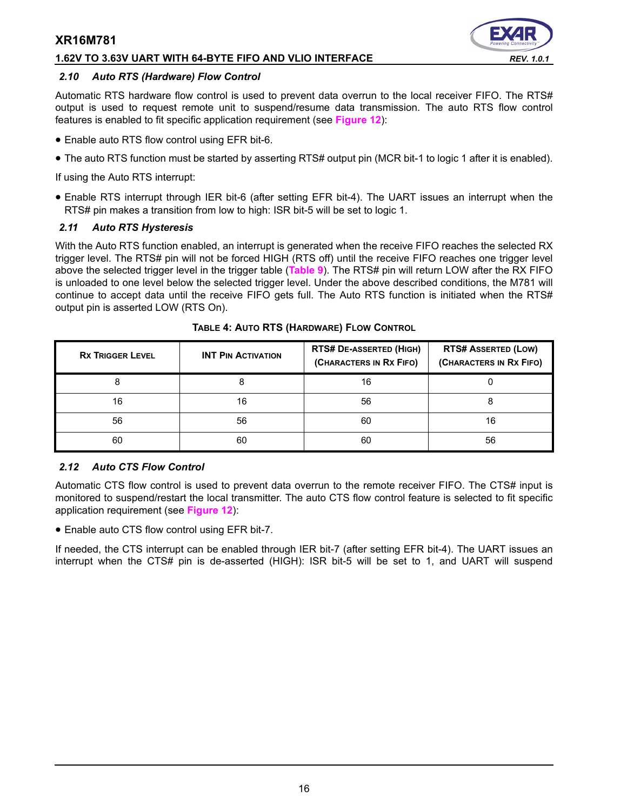#### **1.62V TO 3.63V UART WITH 64-BYTE FIFO AND VLIO INTERFACE** *REV. 1.0.1*

#### *2.10 Auto RTS (Hardware) Flow Control*

Automatic RTS hardware flow control is used to prevent data overrun to the local receiver FIFO. The RTS# output is used to request remote unit to suspend/resume data transmission. The auto RTS flow control features is enabled to fit specific application requirement (see **[Figure](#page-16-0) 12**):

- Enable auto RTS flow control using EFR bit-6.
- The auto RTS function must be started by asserting RTS# output pin (MCR bit-1 to logic 1 after it is enabled).

If using the Auto RTS interrupt:

• Enable RTS interrupt through IER bit-6 (after setting EFR bit-4). The UART issues an interrupt when the RTS# pin makes a transition from low to high: ISR bit-5 will be set to logic 1.

#### *2.11 Auto RTS Hysteresis*

With the Auto RTS function enabled, an interrupt is generated when the receive FIFO reaches the selected RX trigger level. The RTS# pin will not be forced HIGH (RTS off) until the receive FIFO reaches one trigger level above the selected trigger level in the trigger table (**[Table](#page-29-0) 9**). The RTS# pin will return LOW after the RX FIFO is unloaded to one level below the selected trigger level. Under the above described conditions, the M781 will continue to accept data until the receive FIFO gets full. The Auto RTS function is initiated when the RTS# output pin is asserted LOW (RTS On).

| <b>RX TRIGGER LEVEL</b> | <b>INT PIN ACTIVATION</b> | <b>RTS# DE-ASSERTED (HIGH)</b><br>(CHARACTERS IN RX FIFO) | <b>RTS# ASSERTED (LOW)</b><br>(CHARACTERS IN RX FIFO) |
|-------------------------|---------------------------|-----------------------------------------------------------|-------------------------------------------------------|
|                         |                           | 16                                                        |                                                       |
| 16                      | 16                        | 56                                                        |                                                       |
| 56                      | 56                        | 60                                                        | 16                                                    |
| 60                      | 60                        | 60                                                        | 56                                                    |

**TABLE 4: AUTO RTS (HARDWARE) FLOW CONTROL**

## *2.12 Auto CTS Flow Control*

Automatic CTS flow control is used to prevent data overrun to the remote receiver FIFO. The CTS# input is monitored to suspend/restart the local transmitter. The auto CTS flow control feature is selected to fit specific application requirement (see **[Figure](#page-16-0) 12**):

• Enable auto CTS flow control using EFR bit-7.

If needed, the CTS interrupt can be enabled through IER bit-7 (after setting EFR bit-4). The UART issues an interrupt when the CTS# pin is de-asserted (HIGH): ISR bit-5 will be set to 1, and UART will suspend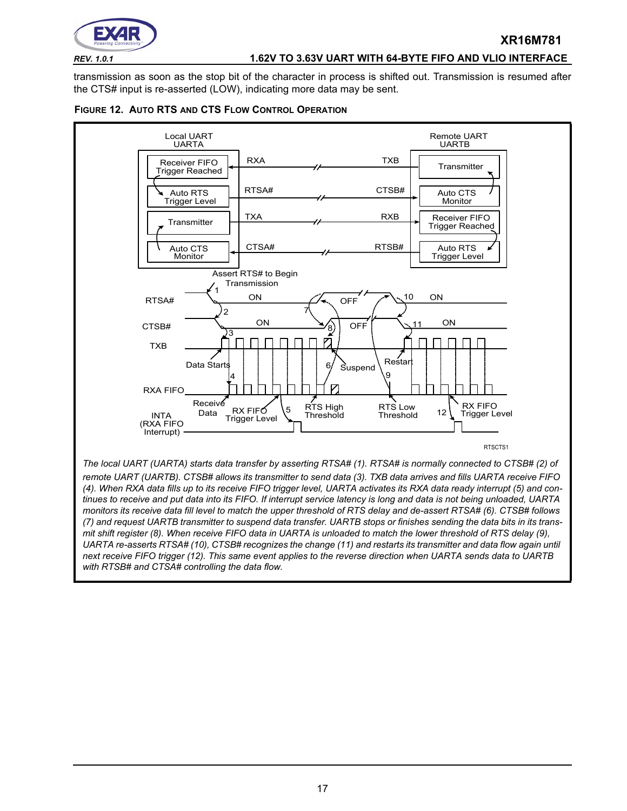

#### *REV. 1.0.1* **1.62V TO 3.63V UART WITH 64-BYTE FIFO AND VLIO INTERFACE**

**XR16M781**

transmission as soon as the stop bit of the character in process is shifted out. Transmission is resumed after the CTS# input is re-asserted (LOW), indicating more data may be sent.

<span id="page-16-0"></span>



17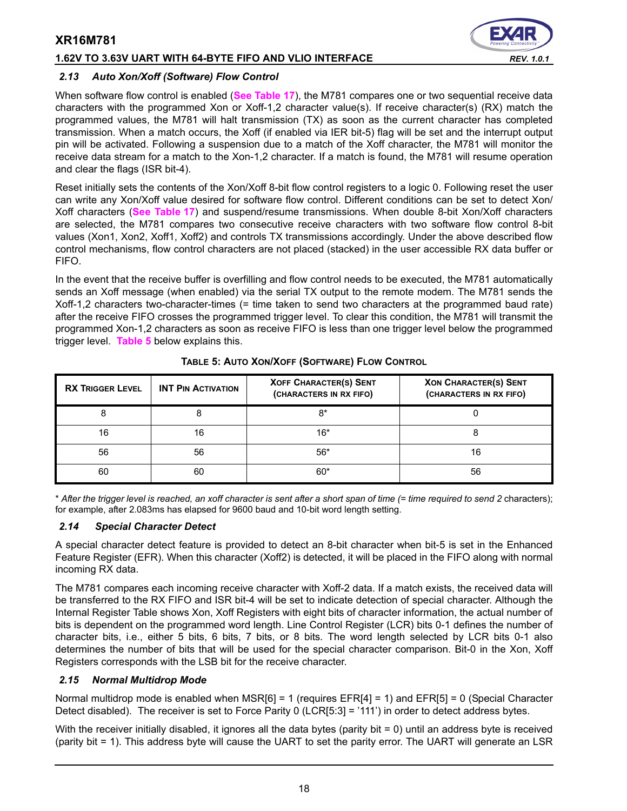#### **1.62V TO 3.63V UART WITH 64-BYTE FIFO AND VLIO INTERFACE** *REV. 1.0.1*



#### *2.13 Auto Xon/Xoff (Software) Flow Control*

When software flow control is enabled (**[See Table](#page-39-0) 17**), the M781 compares one or two sequential receive data characters with the programmed Xon or Xoff-1,2 character value(s). If receive character(s) (RX) match the programmed values, the M781 will halt transmission (TX) as soon as the current character has completed transmission. When a match occurs, the Xoff (if enabled via IER bit-5) flag will be set and the interrupt output pin will be activated. Following a suspension due to a match of the Xoff character, the M781 will monitor the receive data stream for a match to the Xon-1,2 character. If a match is found, the M781 will resume operation and clear the flags (ISR bit-4).

Reset initially sets the contents of the Xon/Xoff 8-bit flow control registers to a logic 0. Following reset the user can write any Xon/Xoff value desired for software flow control. Different conditions can be set to detect Xon/ Xoff characters (**[See Table](#page-39-0) 17**) and suspend/resume transmissions. When double 8-bit Xon/Xoff characters are selected, the M781 compares two consecutive receive characters with two software flow control 8-bit values (Xon1, Xon2, Xoff1, Xoff2) and controls TX transmissions accordingly. Under the above described flow control mechanisms, flow control characters are not placed (stacked) in the user accessible RX data buffer or FIFO.

In the event that the receive buffer is overfilling and flow control needs to be executed, the M781 automatically sends an Xoff message (when enabled) via the serial TX output to the remote modem. The M781 sends the Xoff-1,2 characters two-character-times (= time taken to send two characters at the programmed baud rate) after the receive FIFO crosses the programmed trigger level. To clear this condition, the M781 will transmit the programmed Xon-1,2 characters as soon as receive FIFO is less than one trigger level below the programmed trigger level. **[Table](#page-17-0) 5** below explains this.

<span id="page-17-0"></span>

| <b>RX TRIGGER LEVEL</b> | <b>XOFF CHARACTER(S) SENT</b><br><b>INT PIN ACTIVATION</b><br>(CHARACTERS IN RX FIFO) |       | <b>XON CHARACTER(S) SENT</b><br>(CHARACTERS IN RX FIFO) |
|-------------------------|---------------------------------------------------------------------------------------|-------|---------------------------------------------------------|
|                         |                                                                                       | $8*$  |                                                         |
| 16                      | 16                                                                                    | $16*$ |                                                         |
| 56                      | 56                                                                                    | $56*$ |                                                         |
| 60                      | 60                                                                                    | $60*$ | 56                                                      |

#### **TABLE 5: AUTO XON/XOFF (SOFTWARE) FLOW CONTROL**

\* *After the trigger level is reached, an xoff character is sent after a short span of time (= time required to send 2* characters); for example, after 2.083ms has elapsed for 9600 baud and 10-bit word length setting.

#### *2.14 Special Character Detect*

A special character detect feature is provided to detect an 8-bit character when bit-5 is set in the Enhanced Feature Register (EFR). When this character (Xoff2) is detected, it will be placed in the FIFO along with normal incoming RX data.

The M781 compares each incoming receive character with Xoff-2 data. If a match exists, the received data will be transferred to the RX FIFO and ISR bit-4 will be set to indicate detection of special character. Although the Internal Register Table shows Xon, Xoff Registers with eight bits of character information, the actual number of bits is dependent on the programmed word length. Line Control Register (LCR) bits 0-1 defines the number of character bits, i.e., either 5 bits, 6 bits, 7 bits, or 8 bits. The word length selected by LCR bits 0-1 also determines the number of bits that will be used for the special character comparison. Bit-0 in the Xon, Xoff Registers corresponds with the LSB bit for the receive character.

#### <span id="page-17-1"></span>*2.15 Normal Multidrop Mode*

Normal multidrop mode is enabled when MSR[6] = 1 (requires EFR[4] = 1) and EFR[5] = 0 (Special Character Detect disabled). The receiver is set to Force Parity 0 (LCR[5:3] = '111') in order to detect address bytes.

With the receiver initially disabled, it ignores all the data bytes (parity bit = 0) until an address byte is received (parity bit = 1). This address byte will cause the UART to set the parity error. The UART will generate an LSR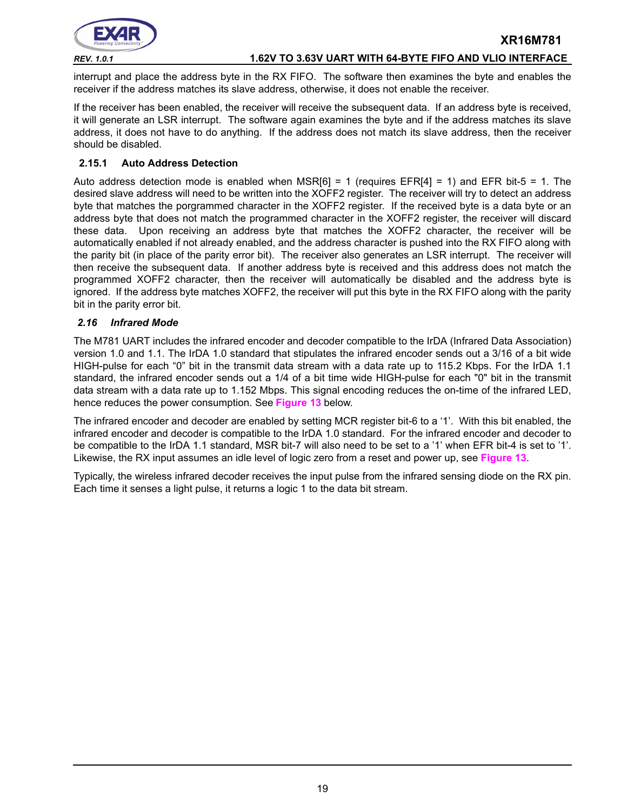

interrupt and place the address byte in the RX FIFO. The software then examines the byte and enables the receiver if the address matches its slave address, otherwise, it does not enable the receiver.

If the receiver has been enabled, the receiver will receive the subsequent data. If an address byte is received, it will generate an LSR interrupt. The software again examines the byte and if the address matches its slave address, it does not have to do anything. If the address does not match its slave address, then the receiver should be disabled.

#### <span id="page-18-1"></span>**2.15.1 Auto Address Detection**

Auto address detection mode is enabled when MSR $[6] = 1$  (requires EFR $[4] = 1$ ) and EFR bit-5 = 1. The desired slave address will need to be written into the XOFF2 register. The receiver will try to detect an address byte that matches the porgrammed character in the XOFF2 register. If the received byte is a data byte or an address byte that does not match the programmed character in the XOFF2 register, the receiver will discard these data. Upon receiving an address byte that matches the XOFF2 character, the receiver will be automatically enabled if not already enabled, and the address character is pushed into the RX FIFO along with the parity bit (in place of the parity error bit). The receiver also generates an LSR interrupt. The receiver will then receive the subsequent data. If another address byte is received and this address does not match the programmed XOFF2 character, then the receiver will automatically be disabled and the address byte is ignored. If the address byte matches XOFF2, the receiver will put this byte in the RX FIFO along with the parity bit in the parity error bit.

#### <span id="page-18-0"></span>*2.16 Infrared Mode*

The M781 UART includes the infrared encoder and decoder compatible to the IrDA (Infrared Data Association) version 1.0 and 1.1. The IrDA 1.0 standard that stipulates the infrared encoder sends out a 3/16 of a bit wide HIGH-pulse for each "0" bit in the transmit data stream with a data rate up to 115.2 Kbps. For the IrDA 1.1 standard, the infrared encoder sends out a 1/4 of a bit time wide HIGH-pulse for each "0" bit in the transmit data stream with a data rate up to 1.152 Mbps. This signal encoding reduces the on-time of the infrared LED, hence reduces the power consumption. See **[Figure](#page-19-0) 13** below.

The infrared encoder and decoder are enabled by setting MCR register bit-6 to a '1'. With this bit enabled, the infrared encoder and decoder is compatible to the IrDA 1.0 standard. For the infrared encoder and decoder to be compatible to the IrDA 1.1 standard, MSR bit-7 will also need to be set to a '1' when EFR bit-4 is set to '1'. Likewise, the RX input assumes an idle level of logic zero from a reset and power up, see **[Figure](#page-19-0) 13**.

Typically, the wireless infrared decoder receives the input pulse from the infrared sensing diode on the RX pin. Each time it senses a light pulse, it returns a logic 1 to the data bit stream.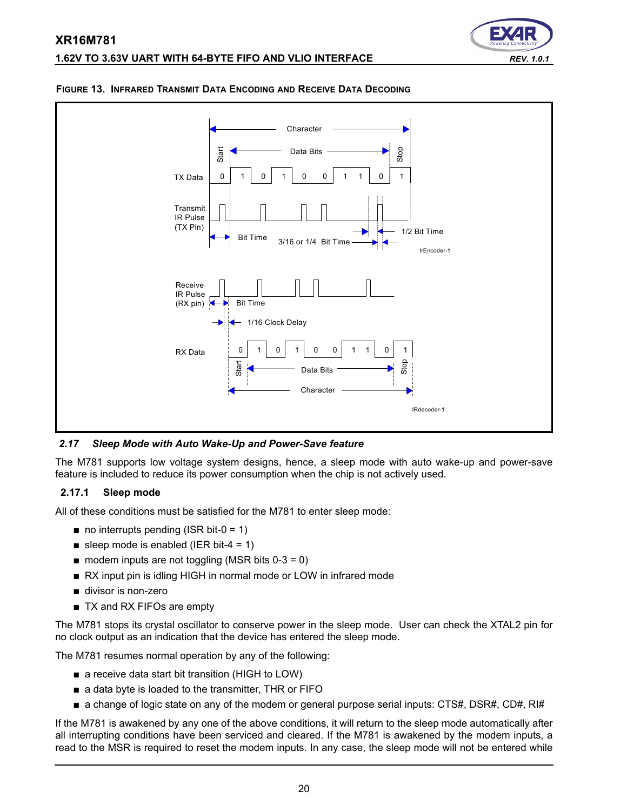



#### <span id="page-19-0"></span>**FIGURE 13. INFRARED TRANSMIT DATA ENCODING AND RECEIVE DATA DECODING**

*2.17 Sleep Mode with Auto Wake-Up and Power-Save feature*

The M781 supports low voltage system designs, hence, a sleep mode with auto wake-up and power-save feature is included to reduce its power consumption when the chip is not actively used.

#### **2.17.1 Sleep mode**

All of these conditions must be satisfied for the M781 to enter sleep mode:

- $\blacksquare$  no interrupts pending (ISR bit-0 = 1)
- sleep mode is enabled (IER bit-4 = 1)
- $\blacksquare$  modem inputs are not toggling (MSR bits 0-3 = 0)
- RX input pin is idling HIGH in normal mode or LOW in infrared mode
- divisor is non-zero
- TX and RX FIFOs are empty

The M781 stops its crystal oscillator to conserve power in the sleep mode. User can check the XTAL2 pin for no clock output as an indication that the device has entered the sleep mode.

The M781 resumes normal operation by any of the following:

- a receive data start bit transition (HIGH to LOW)
- a data byte is loaded to the transmitter, THR or FIFO
- a change of logic state on any of the modem or general purpose serial inputs: CTS#, DSR#, CD#, RI#

If the M781 is awakened by any one of the above conditions, it will return to the sleep mode automatically after all interrupting conditions have been serviced and cleared. If the M781 is awakened by the modem inputs, a read to the MSR is required to reset the modem inputs. In any case, the sleep mode will not be entered while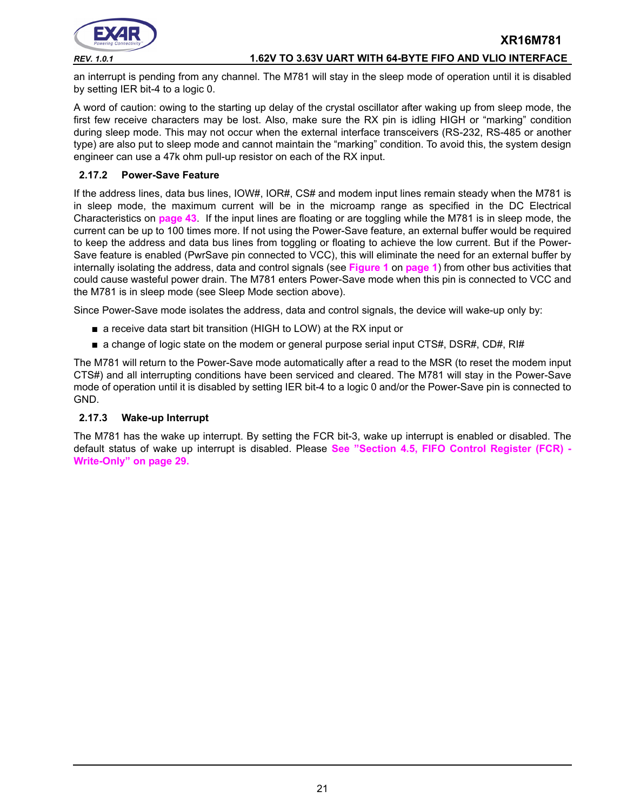

an interrupt is pending from any channel. The M781 will stay in the sleep mode of operation until it is disabled by setting IER bit-4 to a logic 0.

A word of caution: owing to the starting up delay of the crystal oscillator after waking up from sleep mode, the first few receive characters may be lost. Also, make sure the RX pin is idling HIGH or "marking" condition during sleep mode. This may not occur when the external interface transceivers (RS-232, RS-485 or another type) are also put to sleep mode and cannot maintain the "marking" condition. To avoid this, the system design engineer can use a 47k ohm pull-up resistor on each of the RX input.

#### <span id="page-20-1"></span>**2.17.2 Power-Save Feature**

If the address lines, data bus lines, IOW#, IOR#, CS# and modem input lines remain steady when the M781 is in sleep mode, the maximum current will be in the microamp range as specified in the DC Electrical Characteristics on **[page](#page-42-0) 43**. If the input lines are floating or are toggling while the M781 is in sleep mode, the current can be up to 100 times more. If not using the Power-Save feature, an external buffer would be required to keep the address and data bus lines from toggling or floating to achieve the low current. But if the Power-Save feature is enabled (PwrSave pin connected to VCC), this will eliminate the need for an external buffer by internally isolating the address, data and control signals (see **[Figure](#page-0-0) 1** on **[page](#page-0-1) 1**) from other bus activities that could cause wasteful power drain. The M781 enters Power-Save mode when this pin is connected to VCC and the M781 is in sleep mode (see Sleep Mode section above).

Since Power-Save mode isolates the address, data and control signals, the device will wake-up only by:

- a receive data start bit transition (HIGH to LOW) at the RX input or
- a change of logic state on the modem or general purpose serial input CTS#, DSR#, CD#, RI#

The M781 will return to the Power-Save mode automatically after a read to the MSR (to reset the modem input CTS#) and all interrupting conditions have been serviced and cleared. The M781 will stay in the Power-Save mode of operation until it is disabled by setting IER bit-4 to a logic 0 and/or the Power-Save pin is connected to GND.

#### <span id="page-20-0"></span>**2.17.3 Wake-up Interrupt**

The M781 has the wake up interrupt. By setting the FCR bit-3, wake up interrupt is enabled or disabled. The default status of wake up interrupt is disabled. Please **[See "Section 4.5, FIFO Control Register \(FCR\) -](#page-28-0) [Write-Only" on page](#page-28-0) 29.**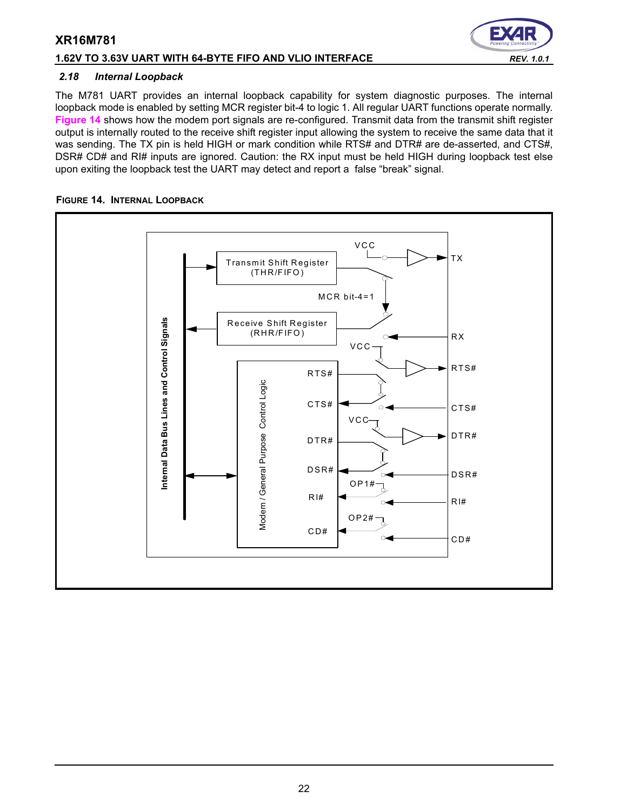## **1.62V TO 3.63V UART WITH 64-BYTE FIFO AND VLIO INTERFACE** *REV. 1.0.1*

#### *2.18 Internal Loopback*

The M781 UART provides an internal loopback capability for system diagnostic purposes. The internal loopback mode is enabled by setting MCR register bit-4 to logic 1. All regular UART functions operate normally. **[Figure](#page-21-0) 14** shows how the modem port signals are re-configured. Transmit data from the transmit shift register output is internally routed to the receive shift register input allowing the system to receive the same data that it was sending. The TX pin is held HIGH or mark condition while RTS# and DTR# are de-asserted, and CTS#, DSR# CD# and RI# inputs are ignored. Caution: the RX input must be held HIGH during loopback test else upon exiting the loopback test the UART may detect and report a false "break" signal.

#### <span id="page-21-0"></span>**FIGURE 14. INTERNAL LOOPBACK**

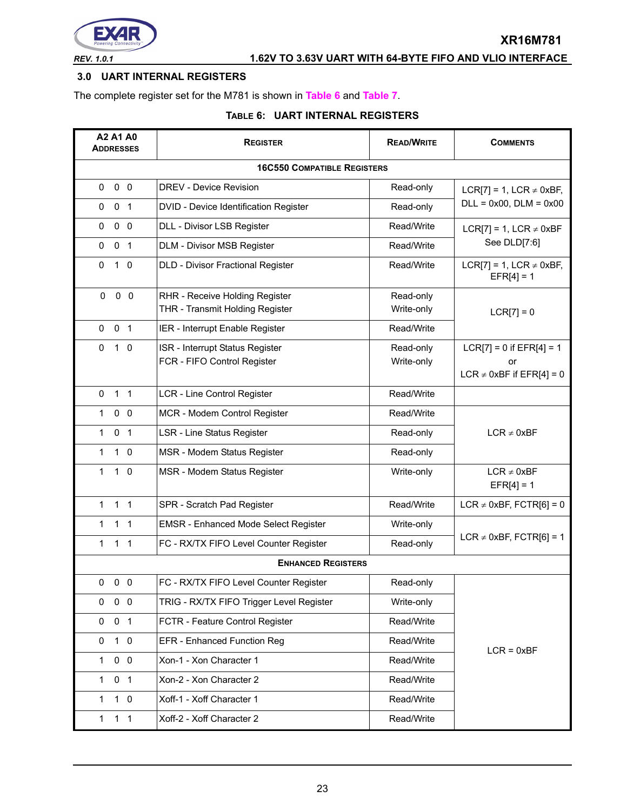

# *REV. 1.0.1* **1.62V TO 3.63V UART WITH 64-BYTE FIFO AND VLIO INTERFACE**

## <span id="page-22-0"></span>**3.0 UART INTERNAL REGISTERS**

The complete register set for the M781 is shown in **[Table](#page-22-1) 6** and **[Table](#page-23-0) 7**.

# **TABLE 6: UART INTERNAL REGISTERS**

<span id="page-22-1"></span>

| A2 A1 A0<br><b>ADDRESSES</b>   | <b>REGISTER</b>                             | <b>READ/WRITE</b> | <b>COMMENTS</b>                              |
|--------------------------------|---------------------------------------------|-------------------|----------------------------------------------|
|                                | <b>16C550 COMPATIBLE REGISTERS</b>          |                   |                                              |
| 0 <sub>0</sub><br>0            | <b>DREV - Device Revision</b>               | Read-only         | LCR[7] = 1, LCR $\neq$ 0xBF,                 |
| 0<br>0 <sub>1</sub>            | DVID - Device Identification Register       | Read-only         | $DLL = 0x00$ , $DLM = 0x00$                  |
| 0 <sub>0</sub><br>0            | DLL - Divisor LSB Register                  | Read/Write        | LCR[7] = 1, LCR $\neq$ 0xBF                  |
| 0 <sub>1</sub><br>0            | DLM - Divisor MSB Register                  | Read/Write        | See DLD[7:6]                                 |
| $\Omega$<br>$1\quad 0$         | DLD - Divisor Fractional Register           | Read/Write        | LCR[7] = 1, LCR $\neq$ 0xBF,<br>$EFR[4] = 1$ |
| $0\quad 0$<br>0                | RHR - Receive Holding Register              | Read-only         |                                              |
|                                | THR - Transmit Holding Register             | Write-only        | $LCR[7] = 0$                                 |
| 0 <sub>1</sub><br>0            | IER - Interrupt Enable Register             | Read/Write        |                                              |
| $\Omega$<br>$1\quad0$          | ISR - Interrupt Status Register             | Read-only         | $LCR[7] = 0$ if $EFR[4] = 1$                 |
|                                | FCR - FIFO Control Register                 | Write-only        | or<br>LCR $\neq$ 0xBF if EFR[4] = 0          |
| 1 <sub>1</sub><br>$\Omega$     | LCR - Line Control Register                 | Read/Write        |                                              |
| $0\quad 0$<br>1.               | MCR - Modem Control Register                | Read/Write        |                                              |
| 0 <sub>1</sub><br>$\mathbf{1}$ | LSR - Line Status Register                  | Read-only         | $LCR \neq 0xBF$                              |
| $\mathbf{1}$<br>$1\quad0$      | MSR - Modem Status Register                 | Read-only         |                                              |
| $\mathbf{1}$<br>$1\quad 0$     | MSR - Modem Status Register                 | Write-only        | $LCR \neq 0xBF$<br>$EFR[4] = 1$              |
| 1 <sub>1</sub><br>$\mathbf{1}$ | SPR - Scratch Pad Register                  | Read/Write        | LCR $\neq$ 0xBF, FCTR[6] = 0                 |
| 1.<br>$1\quad1$                | <b>EMSR - Enhanced Mode Select Register</b> | Write-only        |                                              |
| 1 <sub>1</sub><br>1            | FC - RX/TX FIFO Level Counter Register      | Read-only         | LCR $\neq$ 0xBF, FCTR[6] = 1                 |
|                                | <b>ENHANCED REGISTERS</b>                   |                   |                                              |
| $0\quad 0\quad 0$              | FC - RX/TX FIFO Level Counter Register      | Read-only         |                                              |
| $0\quad 0$<br>0                | TRIG - RX/TX FIFO Trigger Level Register    | Write-only        |                                              |
| 0 <sub>1</sub><br>0            | FCTR - Feature Control Register             | Read/Write        |                                              |
| $1\quad 0$<br>0                | EFR - Enhanced Function Reg                 | $LCR = 0xBF$      |                                              |
| $0\quad 0$<br>$\mathbf{1}$     | Xon-1 - Xon Character 1                     | Read/Write        |                                              |
| 0 <sub>1</sub><br>$\mathbf{1}$ | Xon-2 - Xon Character 2                     | Read/Write        |                                              |
| $1\quad 0$<br>$\mathbf{1}$     | Xoff-1 - Xoff Character 1                   | Read/Write        |                                              |
| 1 <sub>1</sub><br>$\mathbf{1}$ | Xoff-2 - Xoff Character 2                   | Read/Write        |                                              |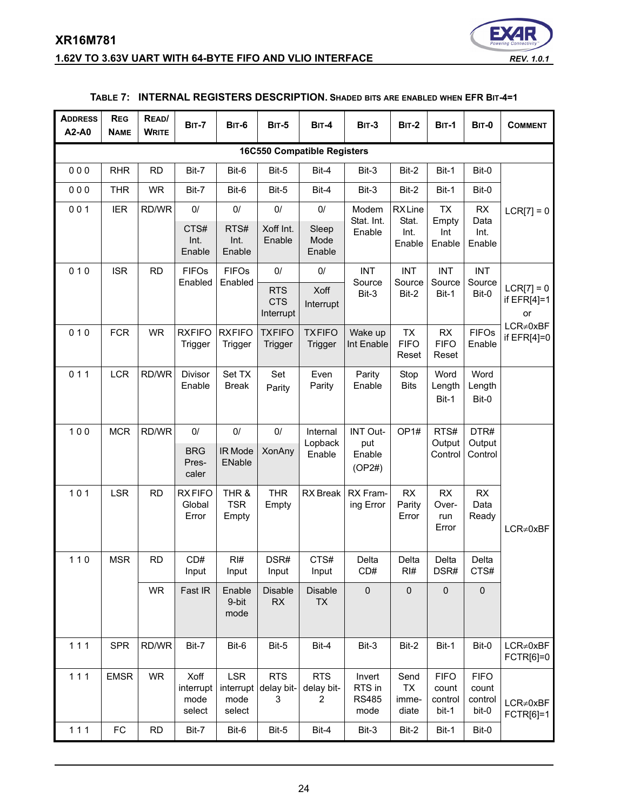# **XR16M781 1.62V TO 3.63V UART WITH 64-BYTE FIFO AND VLIO INTERFACE** *REV. 1.0.1*



<span id="page-23-0"></span>

| <b>ADDRESS</b><br>A2-A0 | <b>REG</b><br><b>NAME</b> | READ/<br><b>WRITE</b> | <b>BIT-7</b>                        | <b>BIT-6</b>                              | <b>BIT-5</b>                          | <b>BIT-4</b>                               | <b>BIT-3</b>                             | <b>BIT-2</b>                        | <b>BIT-1</b>                             | <b>BIT-0</b>                             | <b>COMMENT</b>                      |
|-------------------------|---------------------------|-----------------------|-------------------------------------|-------------------------------------------|---------------------------------------|--------------------------------------------|------------------------------------------|-------------------------------------|------------------------------------------|------------------------------------------|-------------------------------------|
|                         |                           |                       |                                     |                                           |                                       | <b>16C550 Compatible Registers</b>         |                                          |                                     |                                          |                                          |                                     |
| 000                     | <b>RHR</b>                | <b>RD</b>             | Bit-7                               | Bit-6                                     | Bit-5                                 | Bit-4                                      | Bit-3                                    | Bit-2                               | Bit-1                                    | Bit-0                                    |                                     |
| 000                     | <b>THR</b>                | <b>WR</b>             | Bit-7                               | Bit-6                                     | Bit-5                                 | Bit-4                                      | Bit-3                                    | Bit-2                               | Bit-1                                    | Bit-0                                    |                                     |
| 001                     | <b>IER</b>                | RD/WR                 | $0/$                                | 0/                                        | $0/$                                  | $0/$                                       | Modem                                    | <b>RXLine</b>                       | <b>TX</b>                                | <b>RX</b>                                | $LCR[7] = 0$                        |
|                         |                           |                       | CTS#<br>Int.<br>Enable              | RTS#<br>Int.<br>Enable                    | Xoff Int.<br>Enable                   | Sleep<br>Mode<br>Enable                    | Stat. Int.<br>Enable                     | Stat.<br>Int.<br>Enable             | Empty<br>Int<br>Enable                   | Data<br>Int.<br>Enable                   |                                     |
| 010                     | <b>ISR</b>                | <b>RD</b>             | <b>FIFOs</b><br>Enabled             | <b>FIFOs</b><br>Enabled                   | 0/                                    | $0/$                                       | <b>INT</b><br>Source                     | <b>INT</b><br>Source                | <b>INT</b><br>Source                     | <b>INT</b><br>Source                     |                                     |
|                         |                           |                       |                                     |                                           | <b>RTS</b><br><b>CTS</b><br>Interrupt | Xoff<br>Interrupt                          | Bit-3                                    | Bit-2                               | Bit-1                                    | Bit-0                                    | $LCR[7] = 0$<br>if $EFR[4]=1$<br>or |
| 010                     | <b>FCR</b>                | <b>WR</b>             | <b>RXFIFO</b><br>Trigger            | <b>RXFIFO</b><br>Trigger                  | <b>TXFIFO</b><br>Trigger              | <b>TXFIFO</b><br>Trigger                   | Wake up<br>Int Enable                    | <b>TX</b><br><b>FIFO</b><br>Reset   | <b>RX</b><br><b>FIFO</b><br>Reset        | <b>FIFOs</b><br>Enable                   | $LCR \neq 0xBF$<br>if $EFR[4]=0$    |
| 011                     | <b>LCR</b>                | RD/WR                 | Divisor<br>Enable                   | Set TX<br><b>Break</b>                    | Set<br>Parity                         | Even<br>Parity                             | Parity<br>Enable                         | Stop<br><b>Bits</b>                 | Word<br>Length<br>Bit-1                  | Word<br>Length<br>Bit-0                  |                                     |
| 100                     | <b>MCR</b>                | RD/WR                 | 0/                                  | $0/$                                      | $0/$                                  | Internal                                   | INT Out-                                 | OP <sub>1#</sub>                    | RTS#                                     | DTR#                                     |                                     |
|                         |                           |                       | <b>BRG</b><br>Pres-<br>caler        | IR Mode<br>ENable                         | XonAny                                | Lopback<br>Enable                          | put<br>Enable<br>(OP2#)                  |                                     | Output<br>Control                        | Output<br>Control                        |                                     |
| 101                     | <b>LSR</b>                | <b>RD</b>             | <b>RXFIFO</b><br>Global<br>Error    | THR &<br><b>TSR</b><br>Empty              | <b>THR</b><br>Empty                   | <b>RX</b> Break                            | RX Fram-<br>ing Error                    | RX<br>Parity<br>Error               | <b>RX</b><br>Over-<br>run<br>Error       | RX<br>Data<br>Ready                      | $LCR \neq 0xBF$                     |
| $110$                   | <b>MSR</b>                | <b>RD</b>             | CD#<br>Input                        | RH#<br>Input                              | DSR#<br>Input                         | CTS#<br>Input                              | Delta<br>CD#                             | Delta<br>RI#                        | Delta<br>DSR#                            | Delta<br>CTS#                            |                                     |
|                         |                           | <b>WR</b>             | Fast IR                             | Enable<br>9-bit<br>mode                   | <b>Disable</b><br>RX                  | <b>Disable</b><br>TX                       | $\mathbf 0$                              | $\mathbf 0$                         | $\pmb{0}$                                | $\pmb{0}$                                |                                     |
| 111                     | <b>SPR</b>                | RD/WR                 | Bit-7                               | Bit-6                                     | Bit-5                                 | Bit-4                                      | Bit-3                                    | Bit-2                               | Bit-1                                    | Bit-0                                    | $LCR \neq 0xBF$<br>FCTR[6]=0        |
| 111                     | <b>EMSR</b>               | <b>WR</b>             | Xoff<br>interrupt<br>mode<br>select | <b>LSR</b><br>interrupt<br>mode<br>select | <b>RTS</b><br>delay bit-<br>3         | <b>RTS</b><br>delay bit-<br>$\overline{2}$ | Invert<br>RTS in<br><b>RS485</b><br>mode | Send<br><b>TX</b><br>imme-<br>diate | <b>FIFO</b><br>count<br>control<br>bit-1 | <b>FIFO</b><br>count<br>control<br>bit-0 | $LCR \neq 0xBF$<br>FCTR[6]=1        |
| $111$                   | FC                        | RD                    | Bit-7                               | Bit-6                                     | Bit-5                                 | Bit-4                                      | Bit-3                                    | Bit-2                               | Bit-1                                    | Bit-0                                    |                                     |

## **TABLE 7: INTERNAL REGISTERS DESCRIPTION. SHADED BITS ARE ENABLED WHEN EFR BIT-4=1**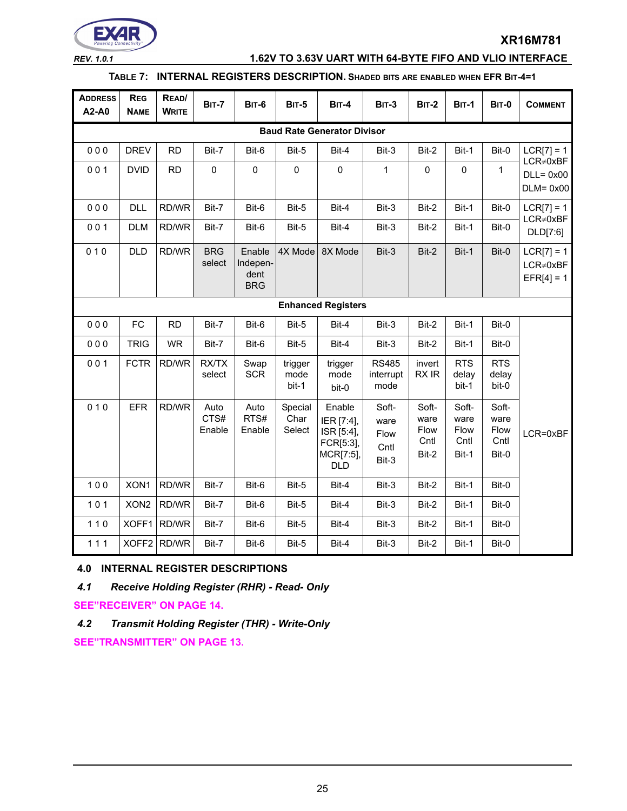

## *REV. 1.0.1* **1.62V TO 3.63V UART WITH 64-BYTE FIFO AND VLIO INTERFACE**

## **TABLE 7: INTERNAL REGISTERS DESCRIPTION. SHADED BITS ARE ENABLED WHEN EFR BIT-4=1**

| <b>ADDRESS</b><br>A2-A0 | <b>REG</b><br><b>NAME</b>          | READ/<br><b>WRITE</b> | <b>BIT-7</b>           | <b>BIT-6</b>                             | <b>BIT-5</b>              | <b>BIT-4</b>                                                               | <b>BIT-3</b>                           | <b>BIT-2</b>                           | <b>BIT-1</b>                           | <b>BIT-0</b>                           | <b>COMMENT</b>                                  |  |  |  |
|-------------------------|------------------------------------|-----------------------|------------------------|------------------------------------------|---------------------------|----------------------------------------------------------------------------|----------------------------------------|----------------------------------------|----------------------------------------|----------------------------------------|-------------------------------------------------|--|--|--|
|                         | <b>Baud Rate Generator Divisor</b> |                       |                        |                                          |                           |                                                                            |                                        |                                        |                                        |                                        |                                                 |  |  |  |
| 000                     | <b>DREV</b>                        | <b>RD</b>             | Bit-7                  | Bit-6                                    | Bit-5                     | Bit-4                                                                      | Bit-3                                  | Bit-2                                  | Bit-1                                  | Bit-0                                  | $LCR[7] = 1$                                    |  |  |  |
| 001                     | <b>DVID</b>                        | <b>RD</b>             | $\mathsf 0$            | $\mathbf 0$                              | $\mathbf 0$               | $\pmb{0}$                                                                  | 1                                      | 0                                      | $\mathbf 0$                            | 1                                      | $LCR \neq 0xBF$<br>$DLL = 0x00$<br>$DLM = 0x00$ |  |  |  |
| 000                     | <b>DLL</b>                         | RD/WR                 | Bit-7                  | Bit-6                                    | Bit-5                     | Bit-4                                                                      | Bit-3                                  | Bit-2                                  | Bit-1                                  | Bit-0                                  | $LCR[7] = 1$                                    |  |  |  |
| 001                     | <b>DLM</b>                         | RD/WR                 | Bit-7                  | Bit-6                                    | Bit-5                     | Bit-4                                                                      | Bit-3                                  | Bit-2                                  | Bit-1                                  | Bit-0                                  | $LCR \neq 0xBF$<br>DLD[7:6]                     |  |  |  |
| 010                     | <b>DLD</b>                         | RD/WR                 | <b>BRG</b><br>select   | Enable<br>Indepen-<br>dent<br><b>BRG</b> | 4X Mode                   | 8X Mode                                                                    | Bit-3                                  | Bit-2                                  | Bit-1                                  | Bit-0                                  | $LCR[7] = 1$<br>$LCR \neq 0xBF$<br>$EFR[4] = 1$ |  |  |  |
|                         |                                    |                       |                        |                                          |                           | <b>Enhanced Registers</b>                                                  |                                        |                                        |                                        |                                        |                                                 |  |  |  |
| 000                     | <b>FC</b>                          | <b>RD</b>             | Bit-7                  | Bit-6                                    | Bit-5                     | Bit-4                                                                      | Bit-3                                  | Bit-2                                  | Bit-1                                  | Bit-0                                  |                                                 |  |  |  |
| 000                     | <b>TRIG</b>                        | <b>WR</b>             | Bit-7                  | Bit-6                                    | Bit-5                     | Bit-4                                                                      | Bit-3                                  | Bit-2                                  | Bit-1                                  | Bit-0                                  |                                                 |  |  |  |
| 001                     | <b>FCTR</b>                        | RD/WR                 | RX/TX<br>select        | Swap<br><b>SCR</b>                       | trigger<br>mode<br>bit-1  | trigger<br>mode<br>bit-0                                                   | <b>RS485</b><br>interrupt<br>mode      | invert<br>RX IR                        | <b>RTS</b><br>delay<br>bit-1           | <b>RTS</b><br>delay<br>bit-0           |                                                 |  |  |  |
| 010                     | <b>EFR</b>                         | RD/WR                 | Auto<br>CTS#<br>Enable | Auto<br>RTS#<br>Enable                   | Special<br>Char<br>Select | Enable<br>IER [7:4],<br>ISR [5:4],<br>FCR[5:3],<br>MCR[7:5],<br><b>DLD</b> | Soft-<br>ware<br>Flow<br>Cntl<br>Bit-3 | Soft-<br>ware<br>Flow<br>Cntl<br>Bit-2 | Soft-<br>ware<br>Flow<br>Cntl<br>Bit-1 | Soft-<br>ware<br>Flow<br>Cntl<br>Bit-0 | LCR=0xBF                                        |  |  |  |
| 100                     | XON1                               | RD/WR                 | Bit-7                  | Bit-6                                    | Bit-5                     | Bit-4                                                                      | Bit-3                                  | Bit-2                                  | Bit-1                                  | Bit-0                                  |                                                 |  |  |  |
| $101$                   | XON <sub>2</sub>                   | RD/WR                 | Bit-7                  | Bit-6                                    | Bit-5                     | Bit-4                                                                      | Bit-3                                  | Bit-2                                  | Bit-1                                  | Bit-0                                  |                                                 |  |  |  |
| $110$                   |                                    | XOFF1 RD/WR           | Bit-7                  | Bit-6                                    | Bit-5                     | Bit-4                                                                      | Bit-3                                  | Bit-2                                  | Bit-1                                  | Bit-0                                  |                                                 |  |  |  |
| 111                     |                                    | XOFF2 RD/WR           | Bit-7                  | Bit-6                                    | Bit-5                     | Bit-4                                                                      | Bit-3                                  | Bit-2                                  | Bit-1                                  | Bit-0                                  |                                                 |  |  |  |

#### **4.0 INTERNAL REGISTER DESCRIPTIONS**

*4.1 Receive Holding Register (RHR) - Read- Only*

**[SEE"RECEIVER" ON PAGE](#page-13-0) 14.**

*4.2 Transmit Holding Register (THR) - Write-Only*

**[SEE"TRANSMITTER" ON PAGE](#page-12-0) 13.**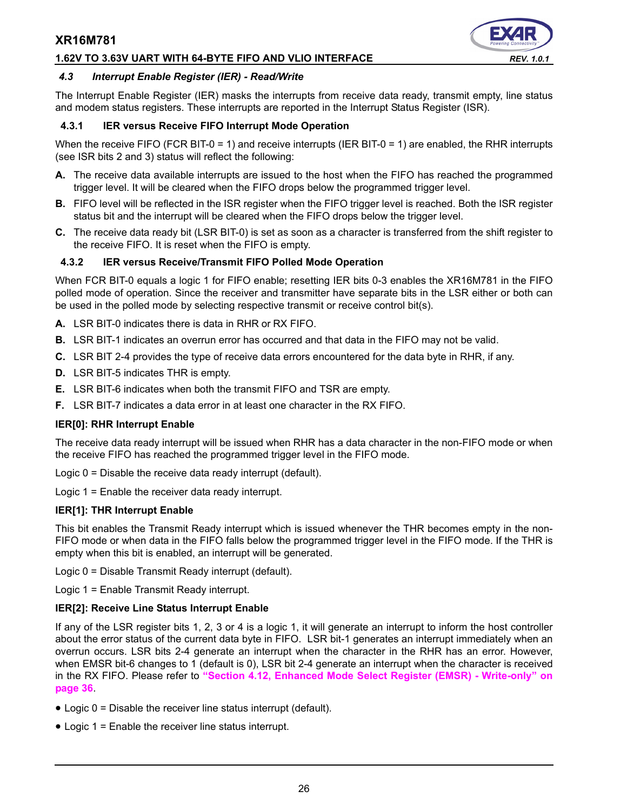#### **1.62V TO 3.63V UART WITH 64-BYTE FIFO AND VLIO INTERFACE** *REV. 1.0.1*



#### *4.3 Interrupt Enable Register (IER) - Read/Write*

The Interrupt Enable Register (IER) masks the interrupts from receive data ready, transmit empty, line status and modem status registers. These interrupts are reported in the Interrupt Status Register (ISR).

#### **4.3.1 IER versus Receive FIFO Interrupt Mode Operation**

When the receive FIFO (FCR BIT-0 = 1) and receive interrupts (IER BIT-0 = 1) are enabled, the RHR interrupts (see ISR bits 2 and 3) status will reflect the following:

- **A.** The receive data available interrupts are issued to the host when the FIFO has reached the programmed trigger level. It will be cleared when the FIFO drops below the programmed trigger level.
- **B.** FIFO level will be reflected in the ISR register when the FIFO trigger level is reached. Both the ISR register status bit and the interrupt will be cleared when the FIFO drops below the trigger level.
- **C.** The receive data ready bit (LSR BIT-0) is set as soon as a character is transferred from the shift register to the receive FIFO. It is reset when the FIFO is empty.

#### **4.3.2 IER versus Receive/Transmit FIFO Polled Mode Operation**

When FCR BIT-0 equals a logic 1 for FIFO enable; resetting IER bits 0-3 enables the XR16M781 in the FIFO polled mode of operation. Since the receiver and transmitter have separate bits in the LSR either or both can be used in the polled mode by selecting respective transmit or receive control bit(s).

- **A.** LSR BIT-0 indicates there is data in RHR or RX FIFO.
- **B.** LSR BIT-1 indicates an overrun error has occurred and that data in the FIFO may not be valid.
- **C.** LSR BIT 2-4 provides the type of receive data errors encountered for the data byte in RHR, if any.
- **D.** LSR BIT-5 indicates THR is empty.
- **E.** LSR BIT-6 indicates when both the transmit FIFO and TSR are empty.
- **F.** LSR BIT-7 indicates a data error in at least one character in the RX FIFO.

#### **IER[0]: RHR Interrupt Enable**

The receive data ready interrupt will be issued when RHR has a data character in the non-FIFO mode or when the receive FIFO has reached the programmed trigger level in the FIFO mode.

Logic 0 = Disable the receive data ready interrupt (default).

Logic 1 = Enable the receiver data ready interrupt.

#### **IER[1]: THR Interrupt Enable**

This bit enables the Transmit Ready interrupt which is issued whenever the THR becomes empty in the non-FIFO mode or when data in the FIFO falls below the programmed trigger level in the FIFO mode. If the THR is empty when this bit is enabled, an interrupt will be generated.

Logic 0 = Disable Transmit Ready interrupt (default).

Logic 1 = Enable Transmit Ready interrupt.

#### **IER[2]: Receive Line Status Interrupt Enable**

If any of the LSR register bits 1, 2, 3 or 4 is a logic 1, it will generate an interrupt to inform the host controller about the error status of the current data byte in FIFO. LSR bit-1 generates an interrupt immediately when an overrun occurs. LSR bits 2-4 generate an interrupt when the character in the RHR has an error. However, when EMSR bit-6 changes to 1 (default is 0), LSR bit 2-4 generate an interrupt when the character is received in the RX FIFO. Please refer to **["Section 4.12, Enhanced Mode Select Register \(EMSR\) - Write-only" on](#page-35-0) [page](#page-35-0) 36**.

- Logic 0 = Disable the receiver line status interrupt (default).
- Logic 1 = Enable the receiver line status interrupt.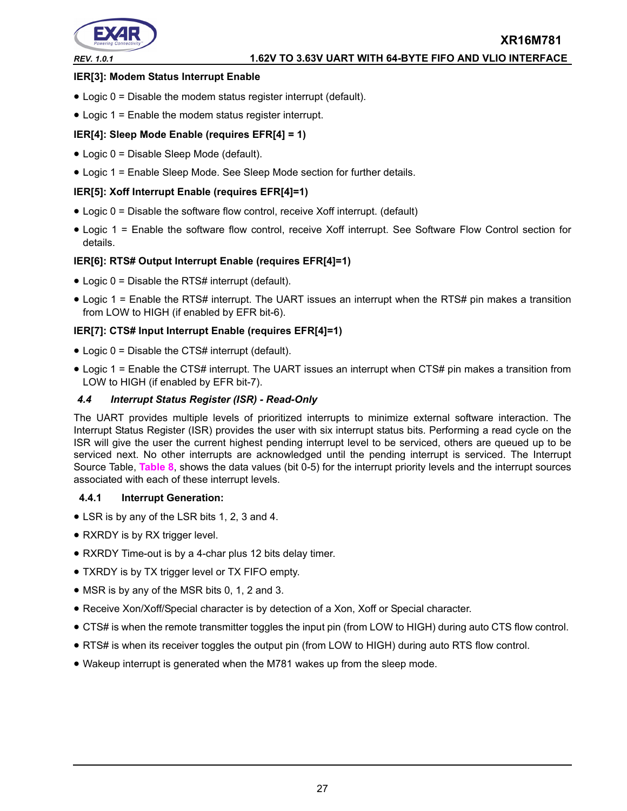

#### **IER[3]: Modem Status Interrupt Enable**

- Logic 0 = Disable the modem status register interrupt (default).
- Logic 1 = Enable the modem status register interrupt.

#### **IER[4]: Sleep Mode Enable (requires EFR[4] = 1)**

- Logic 0 = Disable Sleep Mode (default).
- Logic 1 = Enable Sleep Mode. See Sleep Mode section for further details.

#### **IER[5]: Xoff Interrupt Enable (requires EFR[4]=1)**

- Logic 0 = Disable the software flow control, receive Xoff interrupt. (default)
- Logic 1 = Enable the software flow control, receive Xoff interrupt. See Software Flow Control section for details.

#### **IER[6]: RTS# Output Interrupt Enable (requires EFR[4]=1)**

- Logic 0 = Disable the RTS# interrupt (default).
- Logic 1 = Enable the RTS# interrupt. The UART issues an interrupt when the RTS# pin makes a transition from LOW to HIGH (if enabled by EFR bit-6).

#### **IER[7]: CTS# Input Interrupt Enable (requires EFR[4]=1)**

- Logic 0 = Disable the CTS# interrupt (default).
- Logic 1 = Enable the CTS# interrupt. The UART issues an interrupt when CTS# pin makes a transition from LOW to HIGH (if enabled by EFR bit-7).

#### *4.4 Interrupt Status Register (ISR) - Read-Only*

The UART provides multiple levels of prioritized interrupts to minimize external software interaction. The Interrupt Status Register (ISR) provides the user with six interrupt status bits. Performing a read cycle on the ISR will give the user the current highest pending interrupt level to be serviced, others are queued up to be serviced next. No other interrupts are acknowledged until the pending interrupt is serviced. The Interrupt Source Table, **[Table](#page-27-0) 8**, shows the data values (bit 0-5) for the interrupt priority levels and the interrupt sources associated with each of these interrupt levels.

#### **4.4.1 Interrupt Generation:**

- LSR is by any of the LSR bits 1, 2, 3 and 4.
- RXRDY is by RX trigger level.
- RXRDY Time-out is by a 4-char plus 12 bits delay timer.
- TXRDY is by TX trigger level or TX FIFO empty.
- MSR is by any of the MSR bits 0, 1, 2 and 3.
- Receive Xon/Xoff/Special character is by detection of a Xon, Xoff or Special character.
- CTS# is when the remote transmitter toggles the input pin (from LOW to HIGH) during auto CTS flow control.
- RTS# is when its receiver toggles the output pin (from LOW to HIGH) during auto RTS flow control.
- Wakeup interrupt is generated when the M781 wakes up from the sleep mode.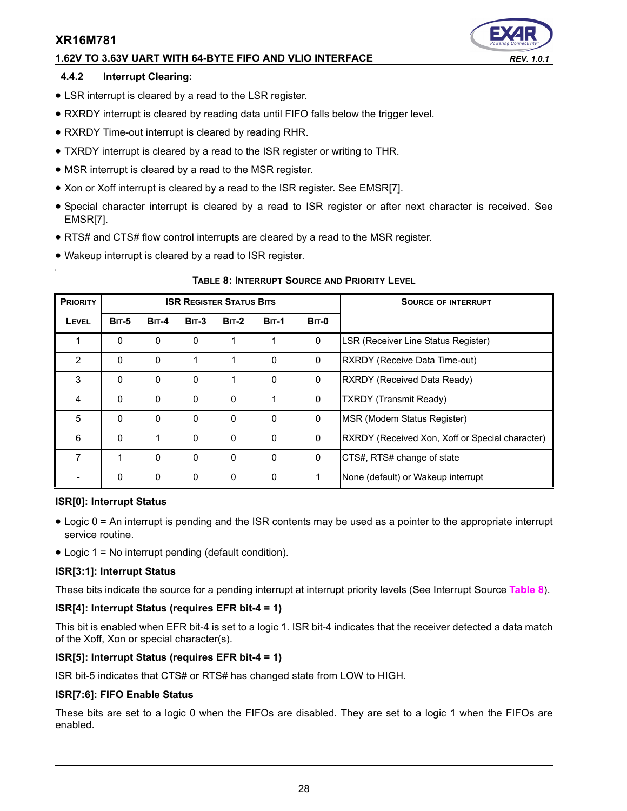#### **1.62V TO 3.63V UART WITH 64-BYTE FIFO AND VLIO INTERFACE** *REV. 1.0.1*

#### **4.4.2 Interrupt Clearing:**

- LSR interrupt is cleared by a read to the LSR register.
- RXRDY interrupt is cleared by reading data until FIFO falls below the trigger level.
- RXRDY Time-out interrupt is cleared by reading RHR.
- TXRDY interrupt is cleared by a read to the ISR register or writing to THR.
- MSR interrupt is cleared by a read to the MSR register.
- Xon or Xoff interrupt is cleared by a read to the ISR register. See EMSR[7].
- Special character interrupt is cleared by a read to ISR register or after next character is received. See EMSR[7].
- RTS# and CTS# flow control interrupts are cleared by a read to the MSR register.
- Wakeup interrupt is cleared by a read to ISR register.

<span id="page-27-0"></span>

| <b>PRIORITY</b> |              |              | <b>ISR REGISTER STATUS BITS</b> |              |              | <b>SOURCE OF INTERRUPT</b> |                                                 |
|-----------------|--------------|--------------|---------------------------------|--------------|--------------|----------------------------|-------------------------------------------------|
| <b>LEVEL</b>    | <b>BIT-5</b> | <b>BIT-4</b> | $BIT-3$                         | <b>BIT-2</b> | <b>BIT-1</b> | <b>BIT-0</b>               |                                                 |
|                 | $\mathbf{0}$ | $\mathbf{0}$ | 0                               | 1            | 1            | 0                          | LSR (Receiver Line Status Register)             |
| 2               | $\mathbf{0}$ | $\Omega$     | 1                               |              | $\Omega$     | 0                          | RXRDY (Receive Data Time-out)                   |
| 3               | 0            | $\Omega$     | 0                               | 1            | $\Omega$     | $\mathbf{0}$               | RXRDY (Received Data Ready)                     |
| 4               | $\mathbf{0}$ | $\mathbf{0}$ | $\Omega$                        | $\mathbf{0}$ | 1            | 0                          | <b>TXRDY</b> (Transmit Ready)                   |
| 5               | $\Omega$     | $\Omega$     | 0                               | $\Omega$     | $\Omega$     | $\mathbf{0}$               | MSR (Modem Status Register)                     |
| 6               | $\Omega$     | 1            | $\Omega$                        | $\Omega$     | $\Omega$     | $\mathbf 0$                | RXRDY (Received Xon, Xoff or Special character) |
| 7               | 1            | $\Omega$     | 0                               | $\mathbf{0}$ | $\Omega$     | 0                          | CTS#, RTS# change of state                      |
|                 | 0            | $\mathbf 0$  | 0                               | 0            | $\Omega$     |                            | None (default) or Wakeup interrupt              |

#### **TABLE 8: INTERRUPT SOURCE AND PRIORITY LEVEL**

#### **ISR[0]: Interrupt Status**

- Logic 0 = An interrupt is pending and the ISR contents may be used as a pointer to the appropriate interrupt service routine.
- Logic 1 = No interrupt pending (default condition).

#### **ISR[3:1]: Interrupt Status**

These bits indicate the source for a pending interrupt at interrupt priority levels (See Interrupt Source **[Table](#page-27-0) 8**).

#### **ISR[4]: Interrupt Status (requires EFR bit-4 = 1)**

This bit is enabled when EFR bit-4 is set to a logic 1. ISR bit-4 indicates that the receiver detected a data match of the Xoff, Xon or special character(s).

#### **ISR[5]: Interrupt Status (requires EFR bit-4 = 1)**

ISR bit-5 indicates that CTS# or RTS# has changed state from LOW to HIGH.

#### **ISR[7:6]: FIFO Enable Status**

These bits are set to a logic 0 when the FIFOs are disabled. They are set to a logic 1 when the FIFOs are enabled.

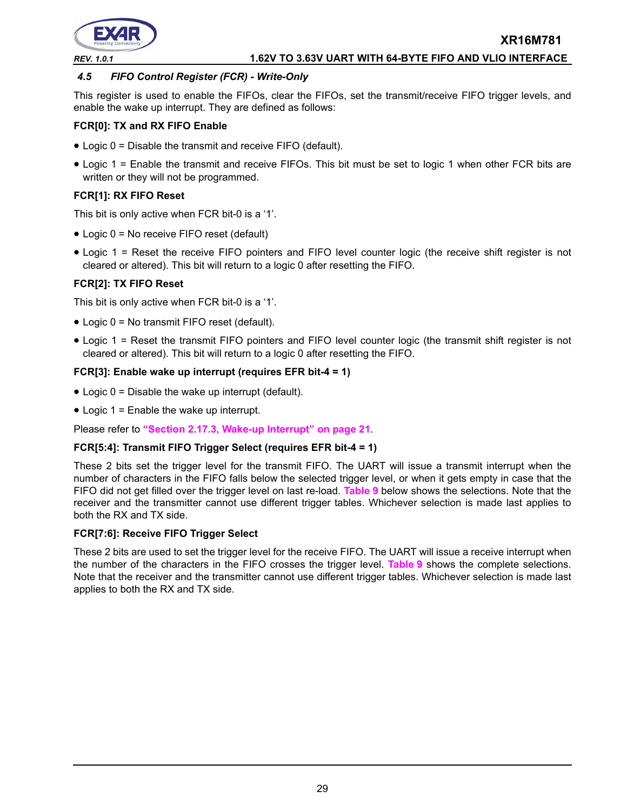

#### *REV. 1.0.1* **1.62V TO 3.63V UART WITH 64-BYTE FIFO AND VLIO INTERFACE**

#### <span id="page-28-0"></span>*4.5 FIFO Control Register (FCR) - Write-Only*

This register is used to enable the FIFOs, clear the FIFOs, set the transmit/receive FIFO trigger levels, and enable the wake up interrupt. They are defined as follows:

#### **FCR[0]: TX and RX FIFO Enable**

- Logic 0 = Disable the transmit and receive FIFO (default).
- Logic 1 = Enable the transmit and receive FIFOs. This bit must be set to logic 1 when other FCR bits are written or they will not be programmed.

#### **FCR[1]: RX FIFO Reset**

This bit is only active when FCR bit-0 is a '1'.

- Logic 0 = No receive FIFO reset (default)
- Logic 1 = Reset the receive FIFO pointers and FIFO level counter logic (the receive shift register is not cleared or altered). This bit will return to a logic 0 after resetting the FIFO.

#### **FCR[2]: TX FIFO Reset**

This bit is only active when FCR bit-0 is a '1'.

- Logic 0 = No transmit FIFO reset (default).
- Logic 1 = Reset the transmit FIFO pointers and FIFO level counter logic (the transmit shift register is not cleared or altered). This bit will return to a logic 0 after resetting the FIFO.

#### **FCR[3]: Enable wake up interrupt (requires EFR bit-4 = 1)**

- Logic  $0 =$  Disable the wake up interrupt (default).
- Logic 1 = Enable the wake up interrupt.

Please refer to **["Section 2.17.3, Wake-up Interrupt" on page](#page-20-0) 21**.

#### **FCR[5:4]: Transmit FIFO Trigger Select (requires EFR bit-4 = 1)**

These 2 bits set the trigger level for the transmit FIFO. The UART will issue a transmit interrupt when the number of characters in the FIFO falls below the selected trigger level, or when it gets empty in case that the FIFO did not get filled over the trigger level on last re-load. **[Table](#page-29-0) 9** below shows the selections. Note that the receiver and the transmitter cannot use different trigger tables. Whichever selection is made last applies to both the RX and TX side.

#### **FCR[7:6]: Receive FIFO Trigger Select**

These 2 bits are used to set the trigger level for the receive FIFO. The UART will issue a receive interrupt when the number of the characters in the FIFO crosses the trigger level. **[Table](#page-29-0) 9** shows the complete selections. Note that the receiver and the transmitter cannot use different trigger tables. Whichever selection is made last applies to both the RX and TX side.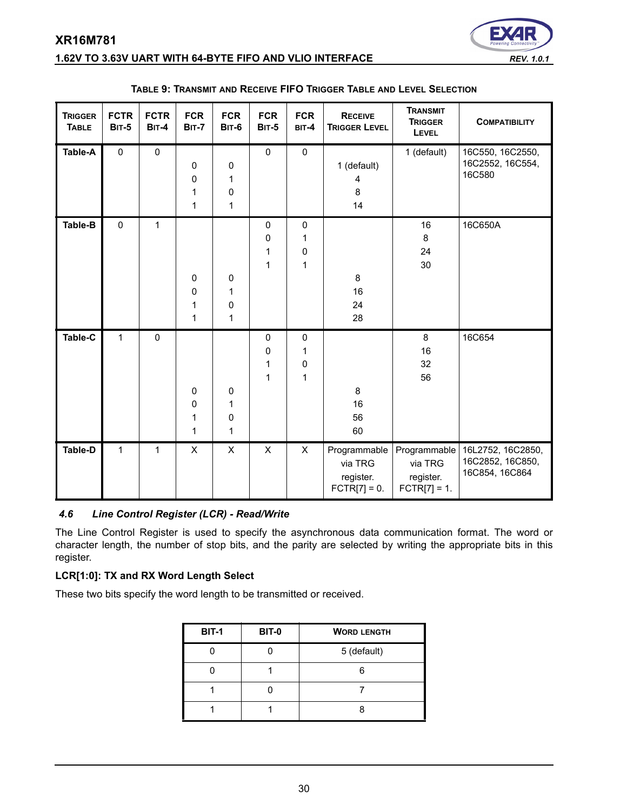# **1.62V TO 3.63V UART WITH 64-BYTE FIFO AND VLIO INTERFACE** *REV. 1.0.1*

<span id="page-29-0"></span>

| <b>TRIGGER</b><br><b>TABLE</b> | <b>FCTR</b><br><b>BIT-5</b> | <b>FCTR</b><br><b>BIT-4</b> | <b>FCR</b><br><b>BIT-7</b>  | <b>FCR</b><br><b>BIT-6</b> | <b>FCR</b><br><b>BIT-5</b>            | <b>FCR</b><br>BIT-4      | <b>RECEIVE</b><br><b>TRIGGER LEVEL</b>                 | <b>TRANSMIT</b><br><b>TRIGGER</b><br>LEVEL             | <b>COMPATIBILITY</b>                                    |
|--------------------------------|-----------------------------|-----------------------------|-----------------------------|----------------------------|---------------------------------------|--------------------------|--------------------------------------------------------|--------------------------------------------------------|---------------------------------------------------------|
| <b>Table-A</b>                 | $\pmb{0}$                   | $\mathsf{O}\xspace$         | 0<br>$\pmb{0}$<br>1<br>1    | 0<br>1<br>0<br>1           | $\pmb{0}$                             | $\mathsf 0$              | 1 (default)<br>4<br>8<br>14                            | 1 (default)                                            | 16C550, 16C2550,<br>16C2552, 16C554,<br>16C580          |
| Table-B                        | $\mathbf 0$                 | $\mathbf{1}$                | 0<br>0<br>1<br>$\mathbf{1}$ | 0<br>1<br>0<br>1           | $\mathbf 0$<br>0<br>1<br>$\mathbf{1}$ | $\pmb{0}$<br>1<br>0<br>1 | 8<br>16<br>24<br>28                                    | 16<br>8<br>24<br>30                                    | 16C650A                                                 |
| Table-C                        | $\mathbf{1}$                | $\mathbf 0$                 | 0<br>0<br>$\mathbf{1}$<br>1 | 0<br>1<br>0<br>1           | $\pmb{0}$<br>0<br>1<br>1              | $\pmb{0}$<br>1<br>0<br>1 | 8<br>16<br>56<br>60                                    | 8<br>16<br>32<br>56                                    | 16C654                                                  |
| <b>Table-D</b>                 | $\mathbf{1}$                | $\mathbf{1}$                | X                           | X                          | X                                     | X                        | Programmable<br>via TRG<br>register.<br>$FCTR[7] = 0.$ | Programmable<br>via TRG<br>register.<br>$FCTR[7] = 1.$ | 16L2752, 16C2850,<br>16C2852, 16C850,<br>16C854, 16C864 |

#### **TABLE 9: TRANSMIT AND RECEIVE FIFO TRIGGER TABLE AND LEVEL SELECTION**

#### *4.6 Line Control Register (LCR) - Read/Write*

The Line Control Register is used to specify the asynchronous data communication format. The word or character length, the number of stop bits, and the parity are selected by writing the appropriate bits in this register.

#### **LCR[1:0]: TX and RX Word Length Select**

These two bits specify the word length to be transmitted or received.

| <b>BIT-1</b> | <b>BIT-0</b> | <b>WORD LENGTH</b> |
|--------------|--------------|--------------------|
|              |              | 5 (default)        |
|              |              |                    |
|              |              |                    |
|              |              |                    |



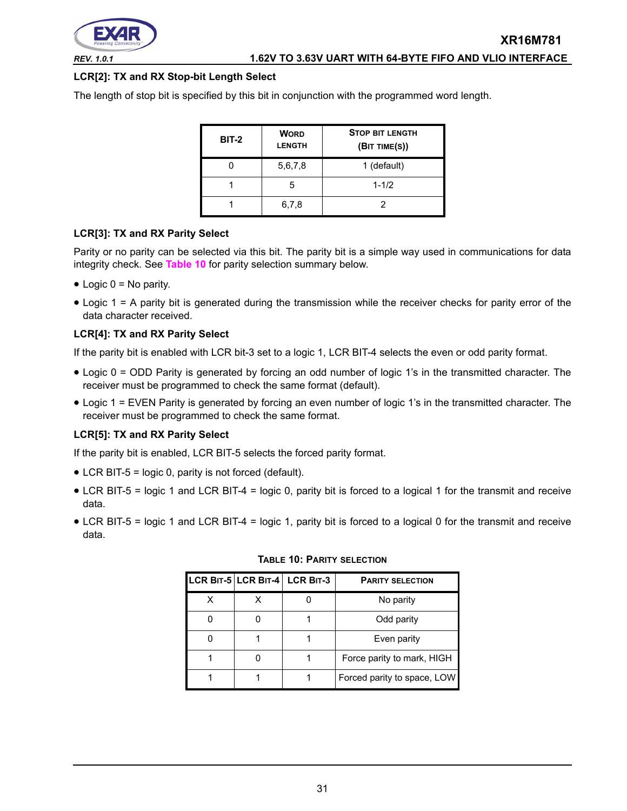

**LCR[2]: TX and RX Stop-bit Length Select**

The length of stop bit is specified by this bit in conjunction with the programmed word length.

| <b>BIT-2</b> | <b>WORD</b><br><b>LENGTH</b> | <b>STOP BIT LENGTH</b><br>(BIT TIME(S)) |
|--------------|------------------------------|-----------------------------------------|
|              | 5,6,7,8                      | 1 (default)                             |
|              | 5                            | $1 - 1/2$                               |
|              | 6,7,8                        |                                         |

#### **LCR[3]: TX and RX Parity Select**

Parity or no parity can be selected via this bit. The parity bit is a simple way used in communications for data integrity check. See **[Table](#page-30-0) 10** for parity selection summary below.

- $\bullet$  Logic 0 = No parity.
- Logic 1 = A parity bit is generated during the transmission while the receiver checks for parity error of the data character received.

#### **LCR[4]: TX and RX Parity Select**

If the parity bit is enabled with LCR bit-3 set to a logic 1, LCR BIT-4 selects the even or odd parity format.

- Logic 0 = ODD Parity is generated by forcing an odd number of logic 1's in the transmitted character. The receiver must be programmed to check the same format (default).
- Logic 1 = EVEN Parity is generated by forcing an even number of logic 1's in the transmitted character. The receiver must be programmed to check the same format.

#### **LCR[5]: TX and RX Parity Select**

If the parity bit is enabled, LCR BIT-5 selects the forced parity format.

- LCR BIT-5 = logic 0, parity is not forced (default).
- LCR BIT-5 = logic 1 and LCR BIT-4 = logic 0, parity bit is forced to a logical 1 for the transmit and receive data.
- <span id="page-30-0"></span>• LCR BIT-5 = logic 1 and LCR BIT-4 = logic 1, parity bit is forced to a logical 0 for the transmit and receive data.

|  | LCR BIT-5 LCR BIT-4 LCR BIT-3 | <b>PARITY SELECTION</b>     |
|--|-------------------------------|-----------------------------|
|  |                               | No parity                   |
|  |                               | Odd parity                  |
|  |                               | Even parity                 |
|  |                               | Force parity to mark, HIGH  |
|  |                               | Forced parity to space, LOW |

#### **TABLE 10: PARITY SELECTION**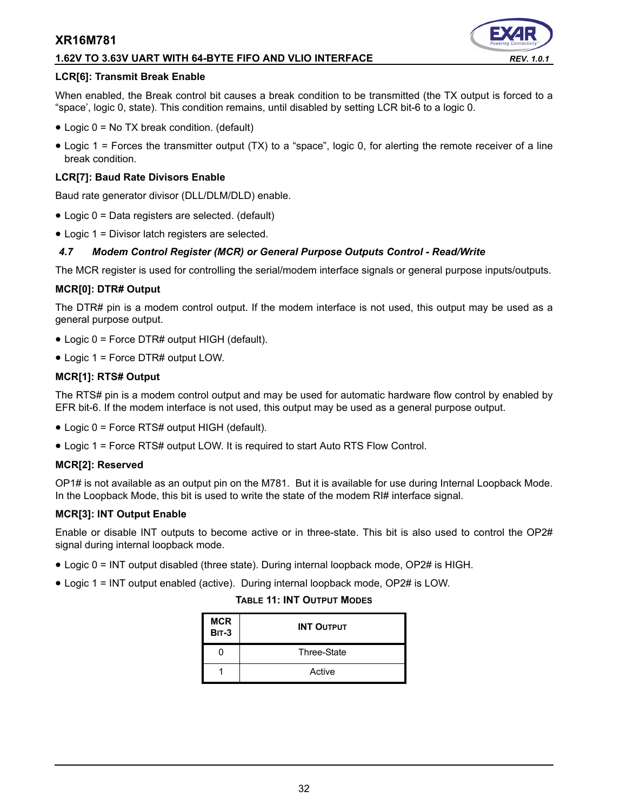#### **1.62V TO 3.63V UART WITH 64-BYTE FIFO AND VLIO INTERFACE** *REV. 1.0.1*

#### **LCR[6]: Transmit Break Enable**

When enabled, the Break control bit causes a break condition to be transmitted (the TX output is forced to a "space', logic 0, state). This condition remains, until disabled by setting LCR bit-6 to a logic 0.

- Logic 0 = No TX break condition. (default)
- Logic 1 = Forces the transmitter output (TX) to a "space", logic 0, for alerting the remote receiver of a line break condition.

#### **LCR[7]: Baud Rate Divisors Enable**

Baud rate generator divisor (DLL/DLM/DLD) enable.

- Logic 0 = Data registers are selected. (default)
- Logic 1 = Divisor latch registers are selected.

#### *4.7 Modem Control Register (MCR) or General Purpose Outputs Control - Read/Write*

The MCR register is used for controlling the serial/modem interface signals or general purpose inputs/outputs.

#### **MCR[0]: DTR# Output**

The DTR# pin is a modem control output. If the modem interface is not used, this output may be used as a general purpose output.

- Logic 0 = Force DTR# output HIGH (default).
- Logic 1 = Force DTR# output LOW.

#### **MCR[1]: RTS# Output**

The RTS# pin is a modem control output and may be used for automatic hardware flow control by enabled by EFR bit-6. If the modem interface is not used, this output may be used as a general purpose output.

- Logic 0 = Force RTS# output HIGH (default).
- Logic 1 = Force RTS# output LOW. It is required to start Auto RTS Flow Control.

#### **MCR[2]: Reserved**

OP1# is not available as an output pin on the M781. But it is available for use during Internal Loopback Mode. In the Loopback Mode, this bit is used to write the state of the modem RI# interface signal.

#### **MCR[3]: INT Output Enable**

Enable or disable INT outputs to become active or in three-state. This bit is also used to control the OP2# signal during internal loopback mode.

- Logic 0 = INT output disabled (three state). During internal loopback mode, OP2# is HIGH.
- Logic 1 = INT output enabled (active). During internal loopback mode, OP2# is LOW.

#### **TABLE 11: INT OUTPUT MODES**

| <b>MCR</b><br><b>BIT-3</b> | <b>INT OUTPUT</b> |
|----------------------------|-------------------|
|                            | Three-State       |
|                            | Active            |

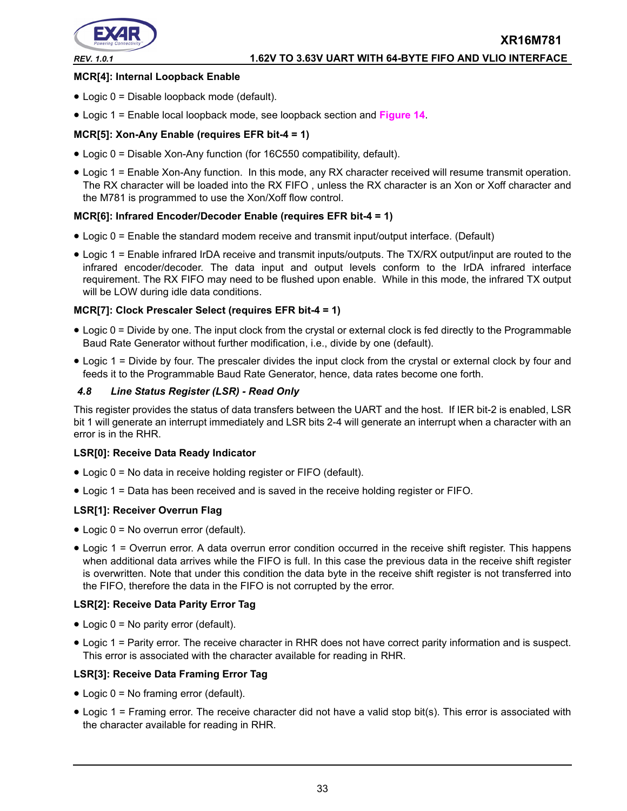

#### **MCR[4]: Internal Loopback Enable**

- Logic 0 = Disable loopback mode (default).
- Logic 1 = Enable local loopback mode, see loopback section and **[Figure](#page-21-0) 14**.

#### **MCR[5]: Xon-Any Enable (requires EFR bit-4 = 1)**

- Logic 0 = Disable Xon-Any function (for 16C550 compatibility, default).
- Logic 1 = Enable Xon-Any function. In this mode, any RX character received will resume transmit operation. The RX character will be loaded into the RX FIFO , unless the RX character is an Xon or Xoff character and the M781 is programmed to use the Xon/Xoff flow control.

#### **MCR[6]: Infrared Encoder/Decoder Enable (requires EFR bit-4 = 1)**

- Logic 0 = Enable the standard modem receive and transmit input/output interface. (Default)
- Logic 1 = Enable infrared IrDA receive and transmit inputs/outputs. The TX/RX output/input are routed to the infrared encoder/decoder. The data input and output levels conform to the IrDA infrared interface requirement. The RX FIFO may need to be flushed upon enable. While in this mode, the infrared TX output will be LOW during idle data conditions.

#### **MCR[7]: Clock Prescaler Select (requires EFR bit-4 = 1)**

- Logic 0 = Divide by one. The input clock from the crystal or external clock is fed directly to the Programmable Baud Rate Generator without further modification, i.e., divide by one (default).
- Logic 1 = Divide by four. The prescaler divides the input clock from the crystal or external clock by four and feeds it to the Programmable Baud Rate Generator, hence, data rates become one forth.

#### *4.8 Line Status Register (LSR) - Read Only*

This register provides the status of data transfers between the UART and the host. If IER bit-2 is enabled, LSR bit 1 will generate an interrupt immediately and LSR bits 2-4 will generate an interrupt when a character with an error is in the RHR.

#### **LSR[0]: Receive Data Ready Indicator**

- Logic 0 = No data in receive holding register or FIFO (default).
- Logic 1 = Data has been received and is saved in the receive holding register or FIFO.

#### **LSR[1]: Receiver Overrun Flag**

- Logic 0 = No overrun error (default).
- Logic 1 = Overrun error. A data overrun error condition occurred in the receive shift register. This happens when additional data arrives while the FIFO is full. In this case the previous data in the receive shift register is overwritten. Note that under this condition the data byte in the receive shift register is not transferred into the FIFO, therefore the data in the FIFO is not corrupted by the error.

#### **LSR[2]: Receive Data Parity Error Tag**

- Logic 0 = No parity error (default).
- Logic 1 = Parity error. The receive character in RHR does not have correct parity information and is suspect. This error is associated with the character available for reading in RHR.

#### **LSR[3]: Receive Data Framing Error Tag**

- Logic 0 = No framing error (default).
- Logic 1 = Framing error. The receive character did not have a valid stop bit(s). This error is associated with the character available for reading in RHR.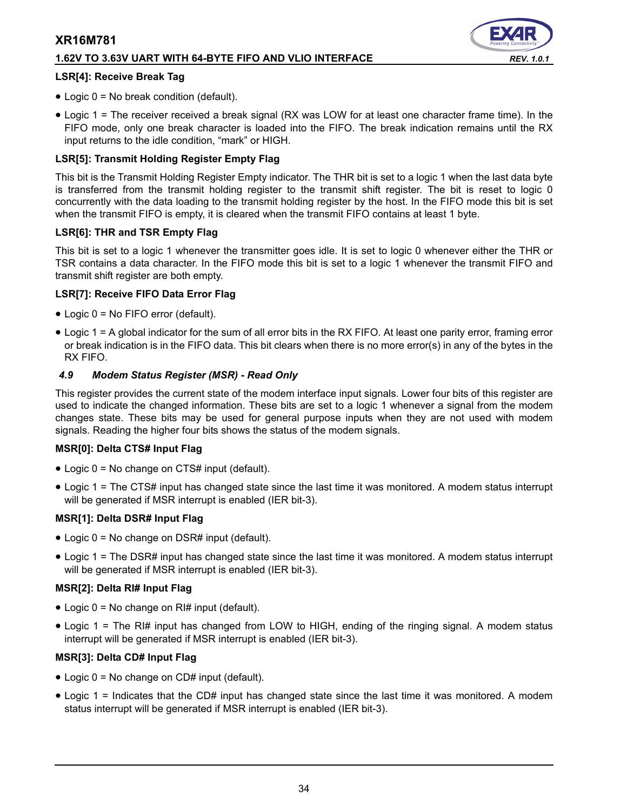#### **1.62V TO 3.63V UART WITH 64-BYTE FIFO AND VLIO INTERFACE** *REV. 1.0.1*

#### **LSR[4]: Receive Break Tag**

- Logic 0 = No break condition (default).
- Logic 1 = The receiver received a break signal (RX was LOW for at least one character frame time). In the FIFO mode, only one break character is loaded into the FIFO. The break indication remains until the RX input returns to the idle condition, "mark" or HIGH.

#### **LSR[5]: Transmit Holding Register Empty Flag**

This bit is the Transmit Holding Register Empty indicator. The THR bit is set to a logic 1 when the last data byte is transferred from the transmit holding register to the transmit shift register. The bit is reset to logic 0 concurrently with the data loading to the transmit holding register by the host. In the FIFO mode this bit is set when the transmit FIFO is empty, it is cleared when the transmit FIFO contains at least 1 byte.

#### **LSR[6]: THR and TSR Empty Flag**

This bit is set to a logic 1 whenever the transmitter goes idle. It is set to logic 0 whenever either the THR or TSR contains a data character. In the FIFO mode this bit is set to a logic 1 whenever the transmit FIFO and transmit shift register are both empty.

#### **LSR[7]: Receive FIFO Data Error Flag**

- Logic 0 = No FIFO error (default).
- Logic 1 = A global indicator for the sum of all error bits in the RX FIFO. At least one parity error, framing error or break indication is in the FIFO data. This bit clears when there is no more error(s) in any of the bytes in the RX FIFO.

#### *4.9 Modem Status Register (MSR) - Read Only*

This register provides the current state of the modem interface input signals. Lower four bits of this register are used to indicate the changed information. These bits are set to a logic 1 whenever a signal from the modem changes state. These bits may be used for general purpose inputs when they are not used with modem signals. Reading the higher four bits shows the status of the modem signals.

#### **MSR[0]: Delta CTS# Input Flag**

- Logic 0 = No change on CTS# input (default).
- Logic 1 = The CTS# input has changed state since the last time it was monitored. A modem status interrupt will be generated if MSR interrupt is enabled (IER bit-3).

#### **MSR[1]: Delta DSR# Input Flag**

- Logic 0 = No change on DSR# input (default).
- Logic 1 = The DSR# input has changed state since the last time it was monitored. A modem status interrupt will be generated if MSR interrupt is enabled (IER bit-3).

#### **MSR[2]: Delta RI# Input Flag**

- Logic 0 = No change on RI# input (default).
- Logic 1 = The RI# input has changed from LOW to HIGH, ending of the ringing signal. A modem status interrupt will be generated if MSR interrupt is enabled (IER bit-3).

#### **MSR[3]: Delta CD# Input Flag**

- Logic 0 = No change on CD# input (default).
- Logic 1 = Indicates that the CD# input has changed state since the last time it was monitored. A modem status interrupt will be generated if MSR interrupt is enabled (IER bit-3).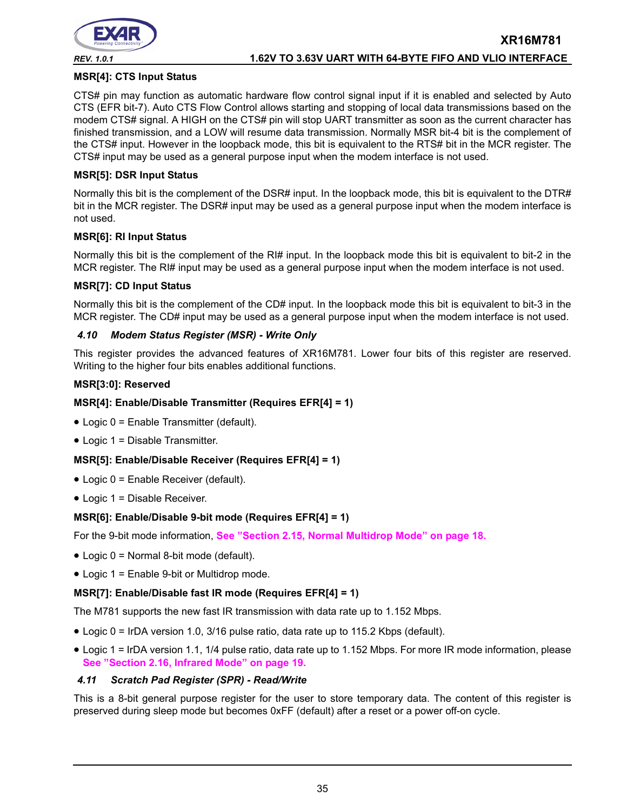

#### **MSR[4]: CTS Input Status**

CTS# pin may function as automatic hardware flow control signal input if it is enabled and selected by Auto CTS (EFR bit-7). Auto CTS Flow Control allows starting and stopping of local data transmissions based on the modem CTS# signal. A HIGH on the CTS# pin will stop UART transmitter as soon as the current character has finished transmission, and a LOW will resume data transmission. Normally MSR bit-4 bit is the complement of the CTS# input. However in the loopback mode, this bit is equivalent to the RTS# bit in the MCR register. The CTS# input may be used as a general purpose input when the modem interface is not used.

#### **MSR[5]: DSR Input Status**

Normally this bit is the complement of the DSR# input. In the loopback mode, this bit is equivalent to the DTR# bit in the MCR register. The DSR# input may be used as a general purpose input when the modem interface is not used.

#### **MSR[6]: RI Input Status**

Normally this bit is the complement of the RI# input. In the loopback mode this bit is equivalent to bit-2 in the MCR register. The RI# input may be used as a general purpose input when the modem interface is not used.

#### **MSR[7]: CD Input Status**

Normally this bit is the complement of the CD# input. In the loopback mode this bit is equivalent to bit-3 in the MCR register. The CD# input may be used as a general purpose input when the modem interface is not used.

#### *4.10 Modem Status Register (MSR) - Write Only*

This register provides the advanced features of XR16M781. Lower four bits of this register are reserved. Writing to the higher four bits enables additional functions.

#### **MSR[3:0]: Reserved**

#### **MSR[4]: Enable/Disable Transmitter (Requires EFR[4] = 1)**

- Logic 0 = Enable Transmitter (default).
- Logic 1 = Disable Transmitter.

#### **MSR[5]: Enable/Disable Receiver (Requires EFR[4] = 1)**

- Logic 0 = Enable Receiver (default).
- Logic 1 = Disable Receiver.

#### **MSR[6]: Enable/Disable 9-bit mode (Requires EFR[4] = 1)**

For the 9-bit mode information, **[See "Section 2.15, Normal Multidrop Mode" on page](#page-17-1) 18.**

- Logic 0 = Normal 8-bit mode (default).
- Logic 1 = Enable 9-bit or Multidrop mode.

#### **MSR[7]: Enable/Disable fast IR mode (Requires EFR[4] = 1)**

The M781 supports the new fast IR transmission with data rate up to 1.152 Mbps.

- Logic 0 = IrDA version 1.0, 3/16 pulse ratio, data rate up to 115.2 Kbps (default).
- Logic 1 = IrDA version 1.1, 1/4 pulse ratio, data rate up to 1.152 Mbps. For more IR mode information, please **[See "Section 2.16, Infrared Mode" on page](#page-18-0) 19.**

#### *4.11 Scratch Pad Register (SPR) - Read/Write*

This is a 8-bit general purpose register for the user to store temporary data. The content of this register is preserved during sleep mode but becomes 0xFF (default) after a reset or a power off-on cycle.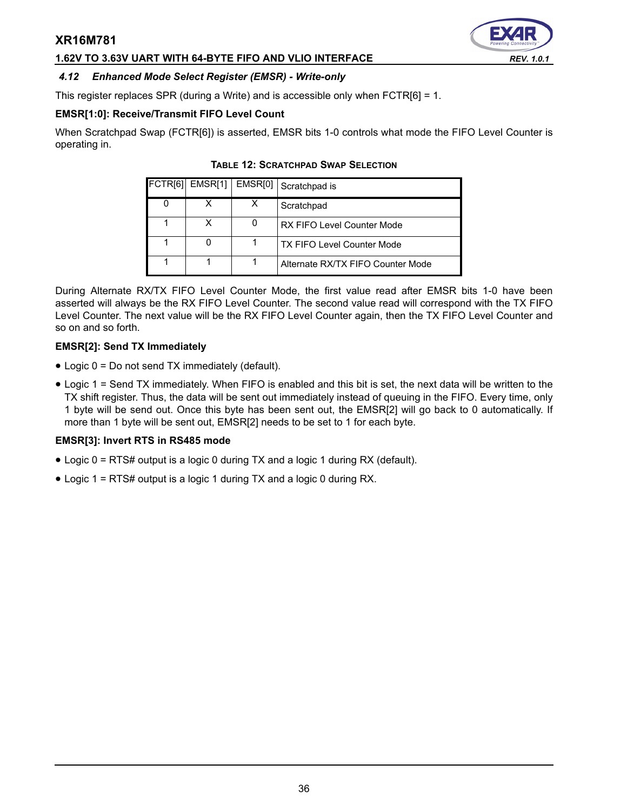#### **1.62V TO 3.63V UART WITH 64-BYTE FIFO AND VLIO INTERFACE** *REV. 1.0.1*

<span id="page-35-0"></span>

This register replaces SPR (during a Write) and is accessible only when FCTR[6] = 1.

## **EMSR[1:0]: Receive/Transmit FIFO Level Count**

<span id="page-35-1"></span>When Scratchpad Swap (FCTR[6]) is asserted, EMSR bits 1-0 controls what mode the FIFO Level Counter is operating in.

|   | FCTR[6] EMSR[1]   EMSR[0] | Scratchpad is                     |
|---|---------------------------|-----------------------------------|
| 0 |                           | Scratchpad                        |
|   | x                         | RX FIFO Level Counter Mode        |
|   |                           | <b>TX FIFO Level Counter Mode</b> |
|   |                           | Alternate RX/TX FIFO Counter Mode |

#### **TABLE 12: SCRATCHPAD SWAP SELECTION**

During Alternate RX/TX FIFO Level Counter Mode, the first value read after EMSR bits 1-0 have been asserted will always be the RX FIFO Level Counter. The second value read will correspond with the TX FIFO Level Counter. The next value will be the RX FIFO Level Counter again, then the TX FIFO Level Counter and so on and so forth.

#### **EMSR[2]: Send TX Immediately**

- Logic 0 = Do not send TX immediately (default).
- Logic 1 = Send TX immediately. When FIFO is enabled and this bit is set, the next data will be written to the TX shift register. Thus, the data will be sent out immediately instead of queuing in the FIFO. Every time, only 1 byte will be send out. Once this byte has been sent out, the EMSR[2] will go back to 0 automatically. If more than 1 byte will be sent out, EMSR[2] needs to be set to 1 for each byte.

#### **EMSR[3]: Invert RTS in RS485 mode**

- Logic 0 = RTS# output is a logic 0 during TX and a logic 1 during RX (default).
- Logic 1 = RTS# output is a logic 1 during TX and a logic 0 during RX.

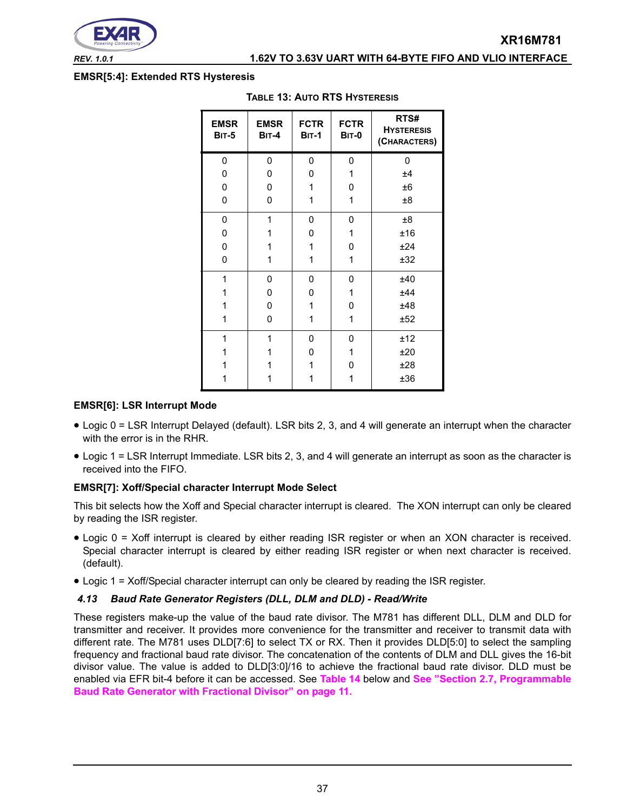

#### *REV. 1.0.1* **1.62V TO 3.63V UART WITH 64-BYTE FIFO AND VLIO INTERFACE**

#### <span id="page-36-1"></span>**EMSR[5:4]: Extended RTS Hysteresis**

| <b>EMSR</b><br><b>BIT-5</b> | <b>EMSR</b><br><b>BIT-4</b> | <b>FCTR</b><br><b>BIT-1</b> | <b>FCTR</b><br><b>BIT-0</b> | RTS#<br><b>HYSTERESIS</b><br>(CHARACTERS) |
|-----------------------------|-----------------------------|-----------------------------|-----------------------------|-------------------------------------------|
| 0                           | 0                           | 0                           | 0                           | 0                                         |
| 0                           | 0                           | 0                           | 1                           | ±4                                        |
| 0                           | 0                           | 1                           | 0                           | ±6                                        |
| 0                           | 0                           | 1                           | 1                           | $\pm 8$                                   |
| 0                           | 1                           | 0                           | 0                           | ±8                                        |
| 0                           | 1                           | 0                           | 1                           | ±16                                       |
| 0                           | 1                           | 1                           | 0                           | ±24                                       |
| 0                           | 1                           | 1                           | 1                           | ±32                                       |
| 1                           | 0                           | 0                           | 0                           | ±40                                       |
| 1                           | 0                           | 0                           | 1                           | ±44                                       |
| 1                           | 0                           | 1                           | 0                           | ±48                                       |
| 1                           | 0                           | 1                           | 1                           | ±52                                       |
| 1                           | 1                           | 0                           | 0                           | ±12                                       |
| 1                           | 1                           | 0                           | 1                           | ±20                                       |
| 1                           | 1                           | 1                           | 0                           | ±28                                       |
| 1                           | 1                           | 1                           | 1                           | ±36                                       |

#### **TABLE 13: AUTO RTS HYSTERESIS**

#### **EMSR[6]: LSR Interrupt Mode**

- Logic 0 = LSR Interrupt Delayed (default). LSR bits 2, 3, and 4 will generate an interrupt when the character with the error is in the RHR.
- Logic 1 = LSR Interrupt Immediate. LSR bits 2, 3, and 4 will generate an interrupt as soon as the character is received into the FIFO.

#### **EMSR[7]: Xoff/Special character Interrupt Mode Select**

This bit selects how the Xoff and Special character interrupt is cleared. The XON interrupt can only be cleared by reading the ISR register.

- Logic 0 = Xoff interrupt is cleared by either reading ISR register or when an XON character is received. Special character interrupt is cleared by either reading ISR register or when next character is received. (default).
- Logic 1 = Xoff/Special character interrupt can only be cleared by reading the ISR register.

#### <span id="page-36-0"></span>*4.13 Baud Rate Generator Registers (DLL, DLM and DLD) - Read/Write*

These registers make-up the value of the baud rate divisor. The M781 has different DLL, DLM and DLD for transmitter and receiver. It provides more convenience for the transmitter and receiver to transmit data with different rate. The M781 uses DLD[7:6] to select TX or RX. Then it provides DLD[5:0] to select the sampling frequency and fractional baud rate divisor. The concatenation of the contents of DLM and DLL gives the 16-bit divisor value. The value is added to DLD[3:0]/16 to achieve the fractional baud rate divisor. DLD must be enabled via EFR bit-4 before it can be accessed. See **[Table](#page-37-0) 14** below and **[See "Section 2.7, Programmable](#page-10-0) [Baud Rate Generator with Fractional Divisor" on page](#page-10-0) 11.**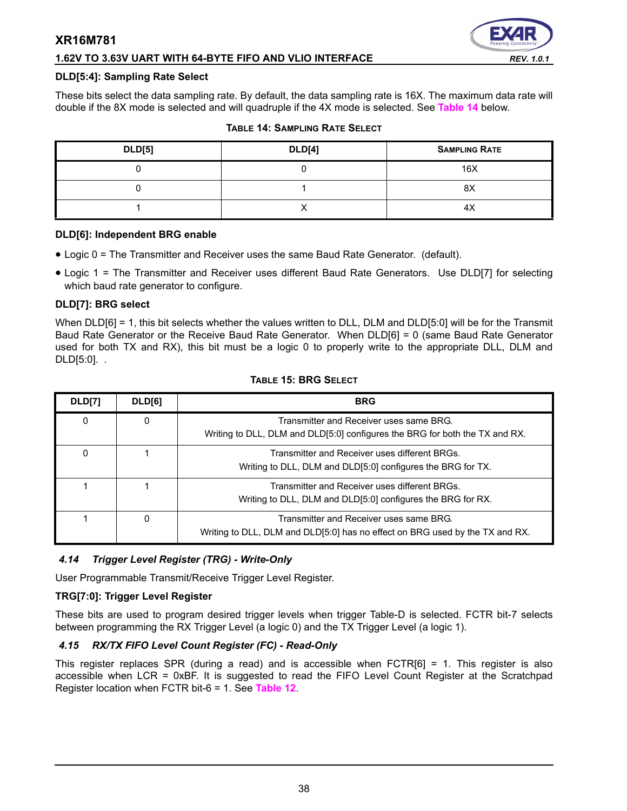#### **1.62V TO 3.63V UART WITH 64-BYTE FIFO AND VLIO INTERFACE** *REV. 1.0.1*

#### **DLD[5:4]: Sampling Rate Select**

These bits select the data sampling rate. By default, the data sampling rate is 16X. The maximum data rate will double if the 8X mode is selected and will quadruple if the 4X mode is selected. See **[Table](#page-37-0) 14** below.

<span id="page-37-0"></span>

| <b>DLD[5]</b> | <b>DLD[4]</b> | <b>SAMPLING RATE</b> |
|---------------|---------------|----------------------|
|               |               | 16X                  |
|               |               | 8X                   |
|               |               | $4\lambda$           |

#### **TABLE 14: SAMPLING RATE SELECT**

#### **DLD[6]: Independent BRG enable**

- Logic 0 = The Transmitter and Receiver uses the same Baud Rate Generator. (default).
- Logic 1 = The Transmitter and Receiver uses different Baud Rate Generators. Use DLD[7] for selecting which baud rate generator to configure.

#### **DLD[7]: BRG select**

When DLD[6] = 1, this bit selects whether the values written to DLL, DLM and DLD[5:0] will be for the Transmit Baud Rate Generator or the Receive Baud Rate Generator. When DLD[6] = 0 (same Baud Rate Generator used for both TX and RX), this bit must be a logic 0 to properly write to the appropriate DLL, DLM and DLD[5:0]. .

| DLD[7] | DLD[6]       | <b>BRG</b>                                                                                                              |
|--------|--------------|-------------------------------------------------------------------------------------------------------------------------|
| 0      | 0            | Transmitter and Receiver uses same BRG.<br>Writing to DLL, DLM and DLD[5:0] configures the BRG for both the TX and RX.  |
| 0      |              | Transmitter and Receiver uses different BRGs.<br>Writing to DLL, DLM and DLD[5:0] configures the BRG for TX.            |
|        |              | Transmitter and Receiver uses different BRGs.<br>Writing to DLL, DLM and DLD[5:0] configures the BRG for RX.            |
|        | <sup>0</sup> | Transmitter and Receiver uses same BRG.<br>Writing to DLL, DLM and DLD[5:0] has no effect on BRG used by the TX and RX. |

#### **TABLE 15: BRG SELECT**

#### *4.14 Trigger Level Register (TRG) - Write-Only*

User Programmable Transmit/Receive Trigger Level Register.

#### **TRG[7:0]: Trigger Level Register**

These bits are used to program desired trigger levels when trigger Table-D is selected. FCTR bit-7 selects between programming the RX Trigger Level (a logic 0) and the TX Trigger Level (a logic 1).

#### *4.15 RX/TX FIFO Level Count Register (FC) - Read-Only*

This register replaces SPR (during a read) and is accessible when FCTR[6] = 1. This register is also accessible when LCR = 0xBF. It is suggested to read the FIFO Level Count Register at the Scratchpad Register location when FCTR bit-6 = 1. See **[Table](#page-35-1) 12**.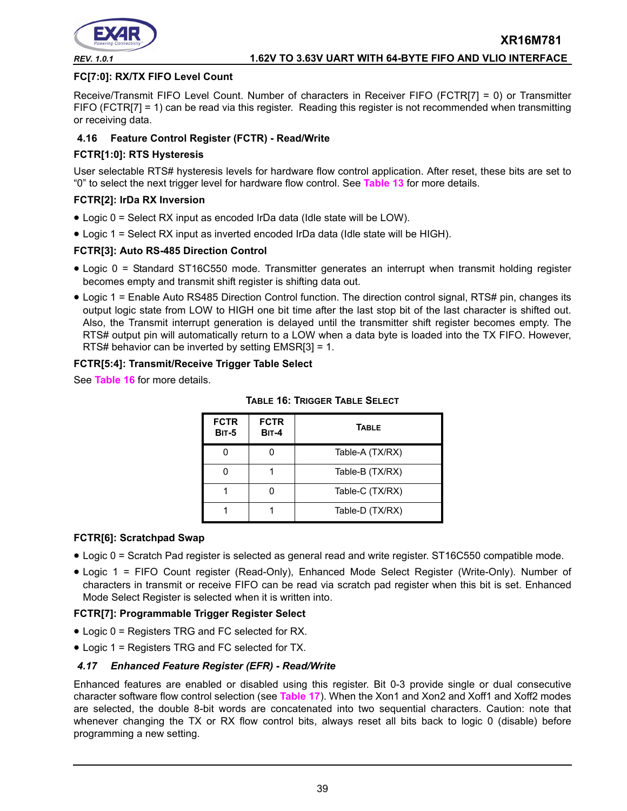

#### **FC[7:0]: RX/TX FIFO Level Count**

Receive/Transmit FIFO Level Count. Number of characters in Receiver FIFO (FCTR[7] = 0) or Transmitter FIFO (FCTR[7] = 1) can be read via this register. Reading this register is not recommended when transmitting or receiving data.

#### **4.16 Feature Control Register (FCTR) - Read/Write**

#### **FCTR[1:0]: RTS Hysteresis**

User selectable RTS# hysteresis levels for hardware flow control application. After reset, these bits are set to "0" to select the next trigger level for hardware flow control. See **[Table](#page-36-1) 13** for more details.

#### **FCTR[2]: IrDa RX Inversion**

- Logic 0 = Select RX input as encoded IrDa data (Idle state will be LOW).
- Logic 1 = Select RX input as inverted encoded IrDa data (Idle state will be HIGH).

#### **FCTR[3]: Auto RS-485 Direction Control**

- Logic 0 = Standard ST16C550 mode. Transmitter generates an interrupt when transmit holding register becomes empty and transmit shift register is shifting data out.
- Logic 1 = Enable Auto RS485 Direction Control function. The direction control signal, RTS# pin, changes its output logic state from LOW to HIGH one bit time after the last stop bit of the last character is shifted out. Also, the Transmit interrupt generation is delayed until the transmitter shift register becomes empty. The RTS# output pin will automatically return to a LOW when a data byte is loaded into the TX FIFO. However, RTS# behavior can be inverted by setting EMSR[3] = 1.

#### **FCTR[5:4]: Transmit/Receive Trigger Table Select**

<span id="page-38-0"></span>See **[Table](#page-38-0) 16** for more details.

| <b>FCTR</b><br><b>BIT-5</b> | <b>FCTR</b><br><b>BIT-4</b> | <b>TABLE</b>    |
|-----------------------------|-----------------------------|-----------------|
|                             |                             | Table-A (TX/RX) |
|                             |                             | Table-B (TX/RX) |
|                             |                             | Table-C (TX/RX) |
|                             |                             | Table-D (TX/RX) |

#### **TABLE 16: TRIGGER TABLE SELECT**

#### **FCTR[6]: Scratchpad Swap**

- Logic 0 = Scratch Pad register is selected as general read and write register. ST16C550 compatible mode.
- Logic 1 = FIFO Count register (Read-Only), Enhanced Mode Select Register (Write-Only). Number of characters in transmit or receive FIFO can be read via scratch pad register when this bit is set. Enhanced Mode Select Register is selected when it is written into.

#### **FCTR[7]: Programmable Trigger Register Select**

- Logic 0 = Registers TRG and FC selected for RX.
- Logic 1 = Registers TRG and FC selected for TX.

#### *4.17 Enhanced Feature Register (EFR) - Read/Write*

Enhanced features are enabled or disabled using this register. Bit 0-3 provide single or dual consecutive character software flow control selection (see **[Table](#page-39-0) 17**). When the Xon1 and Xon2 and Xoff1 and Xoff2 modes are selected, the double 8-bit words are concatenated into two sequential characters. Caution: note that whenever changing the TX or RX flow control bits, always reset all bits back to logic 0 (disable) before programming a new setting.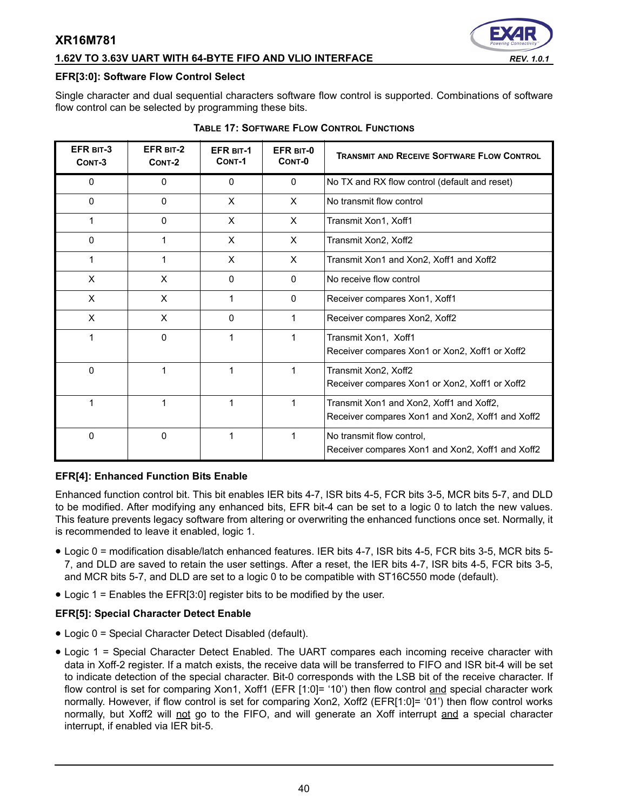#### **1.62V TO 3.63V UART WITH 64-BYTE FIFO AND VLIO INTERFACE** *REV. 1.0.1*



#### **EFR[3:0]: Software Flow Control Select**

Single character and dual sequential characters software flow control is supported. Combinations of software flow control can be selected by programming these bits.

<span id="page-39-0"></span>

| EFR BIT-3<br>CONT-3 | EFR BIT-2<br>CONT-2 | <b>EFR BIT-1</b><br>CONT-1 | EFR BIT-0<br>CONT-0 | <b>TRANSMIT AND RECEIVE SOFTWARE FLOW CONTROL</b>                                            |
|---------------------|---------------------|----------------------------|---------------------|----------------------------------------------------------------------------------------------|
| 0                   | 0                   | 0                          | $\Omega$            | No TX and RX flow control (default and reset)                                                |
| $\mathbf{0}$        | $\mathbf{0}$        | X                          | $\times$            | No transmit flow control                                                                     |
| 1                   | 0                   | X                          | X                   | Transmit Xon1, Xoff1                                                                         |
| 0                   | 1                   | X                          | X                   | Transmit Xon2, Xoff2                                                                         |
| 1                   | 1                   | X                          | X                   | Transmit Xon1 and Xon2, Xoff1 and Xoff2                                                      |
| X                   | X                   | $\Omega$                   | $\mathbf{0}$        | No receive flow control                                                                      |
| X                   | X                   | 1                          | $\mathbf{0}$        | Receiver compares Xon1, Xoff1                                                                |
| X                   | X                   | 0                          |                     | Receiver compares Xon2, Xoff2                                                                |
| 1                   | 0                   | 1                          |                     | Transmit Xon1, Xoff1<br>Receiver compares Xon1 or Xon2, Xoff1 or Xoff2                       |
| 0                   | 1                   | 1                          |                     | Transmit Xon2, Xoff2<br>Receiver compares Xon1 or Xon2, Xoff1 or Xoff2                       |
| 1                   | 1                   | 1                          |                     | Transmit Xon1 and Xon2, Xoff1 and Xoff2,<br>Receiver compares Xon1 and Xon2, Xoff1 and Xoff2 |
| 0                   | 0                   | 1                          |                     | No transmit flow control,<br>Receiver compares Xon1 and Xon2, Xoff1 and Xoff2                |

#### **TABLE 17: SOFTWARE FLOW CONTROL FUNCTIONS**

#### **EFR[4]: Enhanced Function Bits Enable**

Enhanced function control bit. This bit enables IER bits 4-7, ISR bits 4-5, FCR bits 3-5, MCR bits 5-7, and DLD to be modified. After modifying any enhanced bits, EFR bit-4 can be set to a logic 0 to latch the new values. This feature prevents legacy software from altering or overwriting the enhanced functions once set. Normally, it is recommended to leave it enabled, logic 1.

- Logic 0 = modification disable/latch enhanced features. IER bits 4-7, ISR bits 4-5, FCR bits 3-5, MCR bits 5- 7, and DLD are saved to retain the user settings. After a reset, the IER bits 4-7, ISR bits 4-5, FCR bits 3-5, and MCR bits 5-7, and DLD are set to a logic 0 to be compatible with ST16C550 mode (default).
- Logic 1 = Enables the EFR[3:0] register bits to be modified by the user.

#### **EFR[5]: Special Character Detect Enable**

- Logic 0 = Special Character Detect Disabled (default).
- Logic 1 = Special Character Detect Enabled. The UART compares each incoming receive character with data in Xoff-2 register. If a match exists, the receive data will be transferred to FIFO and ISR bit-4 will be set to indicate detection of the special character. Bit-0 corresponds with the LSB bit of the receive character. If flow control is set for comparing Xon1, Xoff1 (EFR [1:0]= '10') then flow control and special character work normally. However, if flow control is set for comparing Xon2, Xoff2 (EFR[1:0]= '01') then flow control works normally, but Xoff2 will not go to the FIFO, and will generate an Xoff interrupt and a special character interrupt, if enabled via IER bit-5.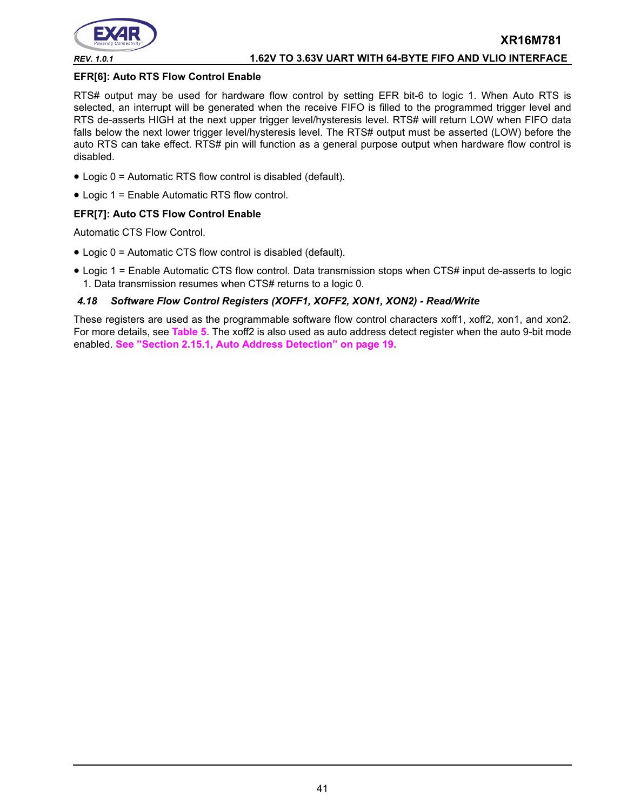

#### **EFR[6]: Auto RTS Flow Control Enable**

RTS# output may be used for hardware flow control by setting EFR bit-6 to logic 1. When Auto RTS is selected, an interrupt will be generated when the receive FIFO is filled to the programmed trigger level and RTS de-asserts HIGH at the next upper trigger level/hysteresis level. RTS# will return LOW when FIFO data falls below the next lower trigger level/hysteresis level. The RTS# output must be asserted (LOW) before the auto RTS can take effect. RTS# pin will function as a general purpose output when hardware flow control is disabled.

- Logic 0 = Automatic RTS flow control is disabled (default).
- Logic 1 = Enable Automatic RTS flow control.

#### **EFR[7]: Auto CTS Flow Control Enable**

Automatic CTS Flow Control.

- Logic 0 = Automatic CTS flow control is disabled (default).
- Logic 1 = Enable Automatic CTS flow control. Data transmission stops when CTS# input de-asserts to logic 1. Data transmission resumes when CTS# returns to a logic 0.

#### *4.18 Software Flow Control Registers (XOFF1, XOFF2, XON1, XON2) - Read/Write*

These registers are used as the programmable software flow control characters xoff1, xoff2, xon1, and xon2. For more details, see **[Table](#page-17-0) 5**. The xoff2 is also used as auto address detect register when the auto 9-bit mode enabled. **[See "Section 2.15.1, Auto Address Detection" on page](#page-18-1) 19.**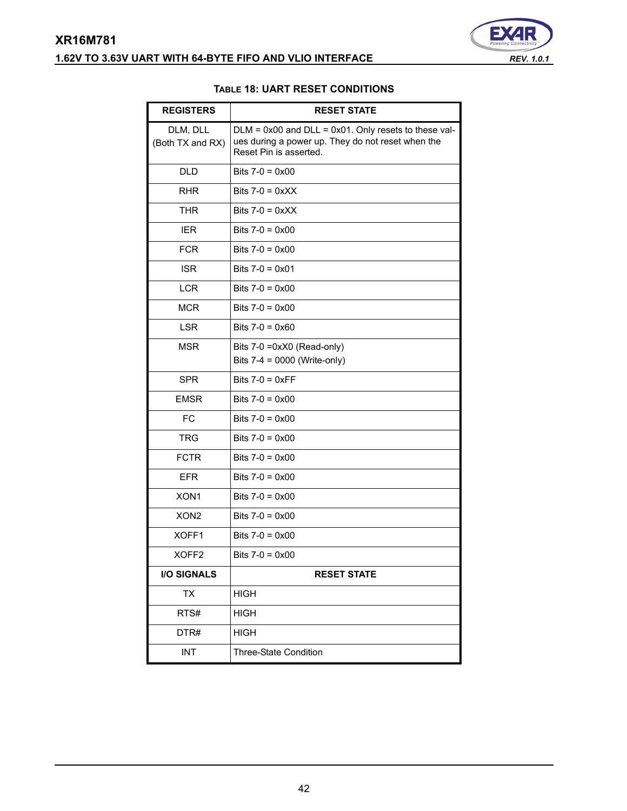# <span id="page-41-0"></span>**XR16M781 1.62V TO 3.63V UART WITH 64-BYTE FIFO AND VLIO INTERFACE** *REV. 1.0.1*



#### **TABLE 18: UART RESET CONDITIONS**

| <b>REGISTERS</b>             | <b>RESET STATE</b>                                                                                                                       |
|------------------------------|------------------------------------------------------------------------------------------------------------------------------------------|
| DLM, DLL<br>(Both TX and RX) | $DLM = 0x00$ and $DLL = 0x01$ . Only resets to these val-<br>ues during a power up. They do not reset when the<br>Reset Pin is asserted. |
| <b>DLD</b>                   | Bits $7-0 = 0 \times 00$                                                                                                                 |
| <b>RHR</b>                   | Bits $7-0 = 0 \times XX$                                                                                                                 |
| <b>THR</b>                   | Bits $7-0 = 0xXX$                                                                                                                        |
| <b>IER</b>                   | Bits $7-0 = 0 \times 00$                                                                                                                 |
| <b>FCR</b>                   | Bits $7-0 = 0 \times 00$                                                                                                                 |
| <b>ISR</b>                   | Bits $7-0 = 0 \times 01$                                                                                                                 |
| <b>LCR</b>                   | Bits $7-0 = 0 \times 00$                                                                                                                 |
| <b>MCR</b>                   | Bits $7-0 = 0 \times 00$                                                                                                                 |
| <b>LSR</b>                   | Bits $7-0 = 0 \times 60$                                                                                                                 |
| <b>MSR</b>                   | Bits 7-0 =0xX0 (Read-only)<br>Bits 7-4 = 0000 (Write-only)                                                                               |
| <b>SPR</b>                   | Bits $7-0 = 0 \times FF$                                                                                                                 |
| <b>EMSR</b>                  | Bits $7-0 = 0 \times 00$                                                                                                                 |
| <b>FC</b>                    | Bits $7-0 = 0 \times 00$                                                                                                                 |
| <b>TRG</b>                   | Bits $7-0 = 0 \times 00$                                                                                                                 |
| <b>FCTR</b>                  | Bits $7-0 = 0 \times 00$                                                                                                                 |
| <b>EFR</b>                   | Bits $7-0 = 0 \times 00$                                                                                                                 |
| XON <sub>1</sub>             | Bits $7-0 = 0 \times 00$                                                                                                                 |
| XON <sub>2</sub>             | Bits $7-0 = 0 \times 00$                                                                                                                 |
| XOFF1                        | Bits $7-0 = 0 \times 00$                                                                                                                 |
| XOFF2                        | Bits $7-0 = 0 \times 00$                                                                                                                 |
| <b>I/O SIGNALS</b>           | <b>RESET STATE</b>                                                                                                                       |
| TX                           | HIGH                                                                                                                                     |
| RTS#                         | <b>HIGH</b>                                                                                                                              |
| DTR#                         | <b>HIGH</b>                                                                                                                              |
| <b>INT</b>                   | Three-State Condition                                                                                                                    |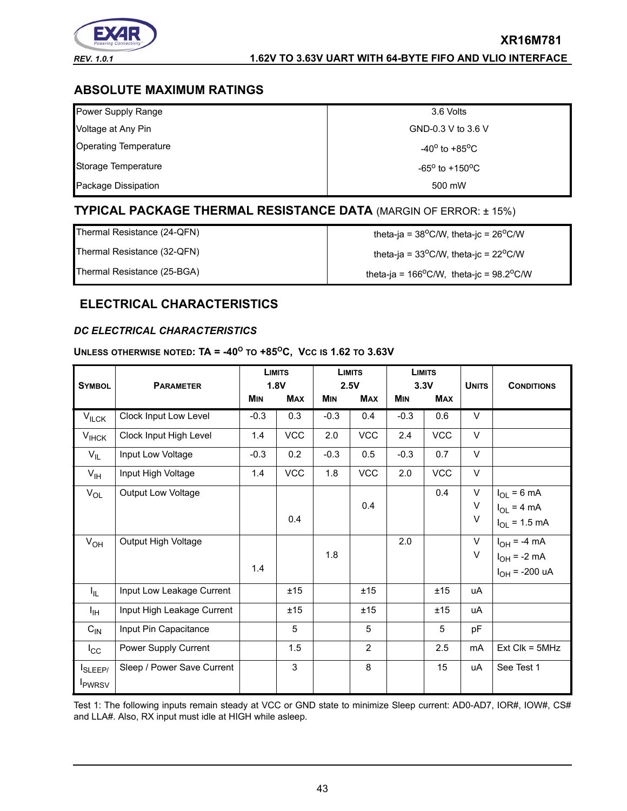

# *REV. 1.0.1* **1.62V TO 3.63V UART WITH 64-BYTE FIFO AND VLIO INTERFACE**

**XR16M781**

# **ABSOLUTE MAXIMUM RATINGS**

| Power Supply Range           | 3.6 Volts                         |
|------------------------------|-----------------------------------|
|                              |                                   |
| Voltage at Any Pin           | GND-0.3 V to 3.6 V                |
| <b>Operating Temperature</b> | $-40^{\circ}$ to $+85^{\circ}$ C  |
| Storage Temperature          | $-65^{\circ}$ to $+150^{\circ}$ C |
| Package Dissipation          | 500 mW                            |

# **TYPICAL PACKAGE THERMAL RESISTANCE DATA** (MARGIN OF ERROR: ± 15%)

| Thermal Resistance (24-QFN) | theta-ja = $38^{\circ}$ C/W, theta-jc = $26^{\circ}$ C/W |
|-----------------------------|----------------------------------------------------------|
| Thermal Resistance (32-QFN) | theta-ja = $33^{\circ}$ C/W, theta-jc = $22^{\circ}$ C/W |
| Thermal Resistance (25-BGA) | theta-ja = $166^{\circ}$ C/W, theta-jc = 98.2°C/W        |

# **ELECTRICAL CHARACTERISTICS**

#### <span id="page-42-0"></span>*DC ELECTRICAL CHARACTERISTICS*

#### **UNLESS OTHERWISE NOTED: TA = -40<sup>O</sup> TO +85OC, VCC IS 1.62 TO 3.63V**

|                    |                            | <b>LIMITS</b><br>1.8V |            | <b>LIMITS</b><br>2.5V |                | <b>LIMITS</b><br>3.3V |            |              |                    |
|--------------------|----------------------------|-----------------------|------------|-----------------------|----------------|-----------------------|------------|--------------|--------------------|
| <b>SYMBOL</b>      | <b>PARAMETER</b>           | <b>MIN</b>            | <b>MAX</b> | <b>MIN</b>            | <b>MAX</b>     | <b>MIN</b>            | <b>MAX</b> | <b>UNITS</b> | <b>CONDITIONS</b>  |
| $V_{\text{ILCK}}$  | Clock Input Low Level      | $-0.3$                | 0.3        | $-0.3$                | 0.4            | $-0.3$                | 0.6        | V            |                    |
| $V_{I HCK}$        | Clock Input High Level     | 1.4                   | <b>VCC</b> | 2.0                   | VCC            | 2.4                   | VCC        | $\vee$       |                    |
| $V_{IL}$           | Input Low Voltage          | $-0.3$                | 0.2        | $-0.3$                | 0.5            | $-0.3$                | 0.7        | $\vee$       |                    |
| $V_{\text{IH}}$    | Input High Voltage         | 1.4                   | <b>VCC</b> | 1.8                   | VCC            | 2.0                   | <b>VCC</b> | V            |                    |
| $V_{OL}$           | <b>Output Low Voltage</b>  |                       |            |                       |                |                       | 0.4        | V            | $I_{OL} = 6 mA$    |
|                    |                            |                       |            |                       | 0.4            |                       |            | V            | $I_{OL}$ = 4 mA    |
|                    |                            |                       | 0.4        |                       |                |                       |            | V            | $I_{OL} = 1.5$ mA  |
| $V_{OH}$           | Output High Voltage        |                       |            |                       |                | 2.0                   |            | V            | $I_{OH} = -4 mA$   |
|                    |                            |                       |            | 1.8                   |                |                       |            | $\vee$       | $I_{OH}$ = -2 mA   |
|                    |                            | 1.4                   |            |                       |                |                       |            |              | $I_{OH}$ = -200 uA |
| ΙL.                | Input Low Leakage Current  |                       | ±15        |                       | ±15            |                       | ±15        | uA           |                    |
| $I_{\rm IH}$       | Input High Leakage Current |                       | ±15        |                       | ±15            |                       | ±15        | uA           |                    |
| $C_{IN}$           | Input Pin Capacitance      |                       | 5          |                       | 5              |                       | 5          | pF           |                    |
| $I_{\rm CC}$       | Power Supply Current       |                       | 1.5        |                       | $\overline{2}$ |                       | 2.5        | mA           | $Ext$ Clk = $5MHz$ |
| I <sub>SLEEP</sub> | Sleep / Power Save Current |                       | 3          |                       | 8              |                       | 15         | uA           | See Test 1         |
| <b>I</b> PWRSV     |                            |                       |            |                       |                |                       |            |              |                    |

Test 1: The following inputs remain steady at VCC or GND state to minimize Sleep current: AD0-AD7, IOR#, IOW#, CS# and LLA#. Also, RX input must idle at HIGH while asleep.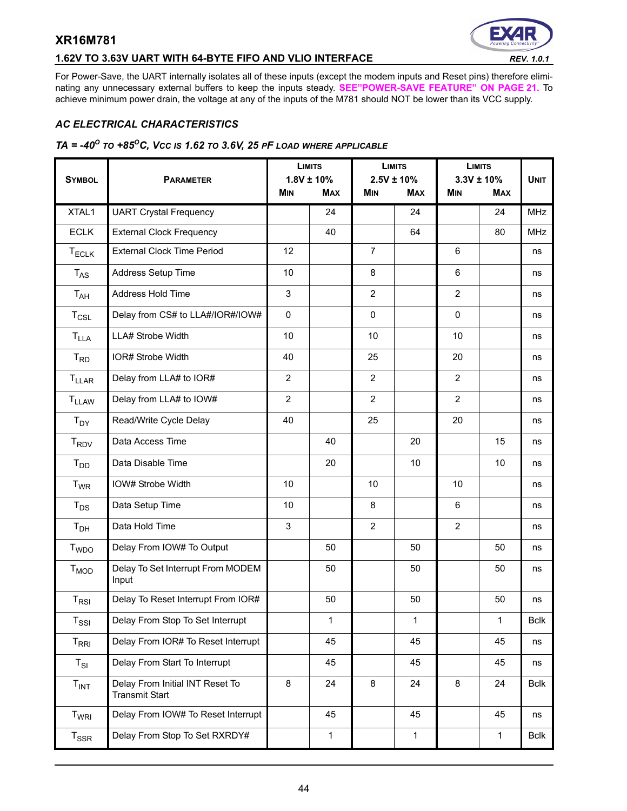# **1.62V TO 3.63V UART WITH 64-BYTE FIFO AND VLIO INTERFACE** *REV. 1.0.1*



For Power-Save, the UART internally isolates all of these inputs (except the modem inputs and Reset pins) therefore eliminating any unnecessary external buffers to keep the inputs steady. **[SEE"POWER-SAVE FEATURE" ON PAGE](#page-20-1) 21.** To achieve minimum power drain, the voltage at any of the inputs of the M781 should NOT be lower than its VCC supply.

#### *AC ELECTRICAL CHARACTERISTICS*

#### *TA = -40O TO +85OC, VCC IS 1.62 TO 3.6V, 25 PF LOAD WHERE APPLICABLE*

|                             |                                                          | <b>LIMITS</b><br>$1.8V \pm 10\%$ |              | <b>LIMITS</b><br>$2.5V \pm 10\%$ |              | <b>LIMITS</b><br>$3.3V \pm 10\%$ |            |             |
|-----------------------------|----------------------------------------------------------|----------------------------------|--------------|----------------------------------|--------------|----------------------------------|------------|-------------|
| <b>SYMBOL</b>               | <b>PARAMETER</b>                                         | <b>MIN</b>                       | <b>MAX</b>   | <b>MIN</b>                       | <b>MAX</b>   | <b>MIN</b>                       | <b>MAX</b> | <b>UNIT</b> |
| XTAL1                       | <b>UART Crystal Frequency</b>                            |                                  | 24           |                                  | 24           |                                  | 24         | <b>MHz</b>  |
| <b>ECLK</b>                 | <b>External Clock Frequency</b>                          |                                  | 40           |                                  | 64           |                                  | 80         | <b>MHz</b>  |
| $T_{ECLK}$                  | <b>External Clock Time Period</b>                        | 12                               |              | $\overline{7}$                   |              | 6                                |            | ns          |
| $T_{AS}$                    | Address Setup Time                                       | 10                               |              | 8                                |              | 6                                |            | ns          |
| $T_{AH}$                    | Address Hold Time                                        | 3                                |              | $\mathbf{2}$                     |              | $\overline{2}$                   |            | ns          |
| $T_{CSL}$                   | Delay from CS# to LLA#/IOR#/IOW#                         | $\mathsf 0$                      |              | $\mathbf 0$                      |              | $\mathbf{0}$                     |            | ns          |
| <b>T<sub>LLA</sub></b>      | LLA# Strobe Width                                        | 10                               |              | 10                               |              | 10                               |            | ns          |
| $T_{RD}$                    | IOR# Strobe Width                                        | 40                               |              | 25                               |              | 20                               |            | ns          |
| $T_{LLAR}$                  | Delay from LLA# to IOR#                                  | $\overline{2}$                   |              | $\overline{2}$                   |              | $\overline{2}$                   |            | ns          |
| <b>TLLAW</b>                | Delay from LLA# to IOW#                                  | $\overline{2}$                   |              | $\overline{2}$                   |              | $\overline{2}$                   |            | ns          |
| $T_{DY}$                    | Read/Write Cycle Delay                                   | 40                               |              | 25                               |              | 20                               |            | ns          |
| <b>T<sub>RDV</sub></b>      | Data Access Time                                         |                                  | 40           |                                  | 20           |                                  | 15         | ns          |
| T <sub>DD</sub>             | Data Disable Time                                        |                                  | 20           |                                  | 10           |                                  | 10         | ns          |
| $T_{WR}$                    | IOW# Strobe Width                                        | 10                               |              | 10                               |              | 10                               |            | ns          |
| $T_{DS}$                    | Data Setup Time                                          | 10                               |              | 8                                |              | 6                                |            | ns          |
| T <sub>DH</sub>             | Data Hold Time                                           | 3                                |              | $\overline{2}$                   |              | $\overline{2}$                   |            | ns          |
| T <sub>WDO</sub>            | Delay From IOW# To Output                                |                                  | 50           |                                  | 50           |                                  | 50         | ns          |
| $T_{MOD}$                   | Delay To Set Interrupt From MODEM<br>Input               |                                  | 50           |                                  | 50           |                                  | 50         | ns          |
| $T_{RSI}$                   | Delay To Reset Interrupt From IOR#                       |                                  | 50           |                                  | 50           |                                  | 50         | ns          |
| $\mathsf{T}_{\mathsf{SSI}}$ | Delay From Stop To Set Interrupt                         |                                  | 1            |                                  | 1            |                                  | 1          | Bclk        |
| $T_{\sf RRI}$               | Delay From IOR# To Reset Interrupt                       |                                  | 45           |                                  | 45           |                                  | 45         | ns          |
| $T_{SI}$                    | Delay From Start To Interrupt                            |                                  | 45           |                                  | 45           |                                  | 45         | ns          |
| T <sub>INT</sub>            | Delay From Initial INT Reset To<br><b>Transmit Start</b> | 8                                | 24           | 8                                | 24           | 8                                | 24         | <b>Bclk</b> |
| T <sub>WRI</sub>            | Delay From IOW# To Reset Interrupt                       |                                  | 45           |                                  | 45           |                                  | 45         | ns          |
| $T_{\rm SSR}$               | Delay From Stop To Set RXRDY#                            |                                  | $\mathbf{1}$ |                                  | $\mathbf{1}$ |                                  | 1          | <b>Bclk</b> |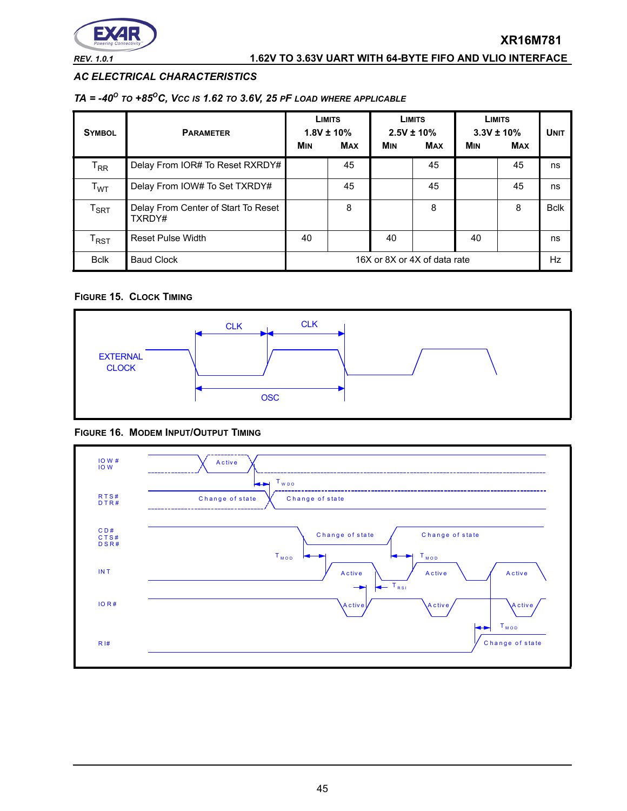

## *AC ELECTRICAL CHARACTERISTICS*

#### *TA = -40O TO +85OC, VCC IS 1.62 TO 3.6V, 25 PF LOAD WHERE APPLICABLE*

| <b>SYMBOL</b>               | <b>PARAMETER</b>                              | <b>LIMITS</b><br>$1.8V \pm 10\%$ |            | <b>LIMITS</b><br>$2.5V \pm 10\%$ |            | <b>LIMITS</b><br>$3.3V \pm 10\%$ |            | <b>UNIT</b> |
|-----------------------------|-----------------------------------------------|----------------------------------|------------|----------------------------------|------------|----------------------------------|------------|-------------|
|                             |                                               | <b>MIN</b>                       | <b>MAX</b> | <b>MIN</b>                       | <b>MAX</b> | <b>MIN</b>                       | <b>MAX</b> |             |
| $\mathsf{T}_{\mathsf{RR}}$  | Delay From IOR# To Reset RXRDY#               |                                  | 45         |                                  | 45         |                                  | 45         | ns          |
| T <sub>WT</sub>             | Delay From IOW# To Set TXRDY#                 |                                  | 45         |                                  | 45         |                                  | 45         | ns          |
| $\mathsf{T}_{\mathsf{SRT}}$ | Delay From Center of Start To Reset<br>TXRDY# |                                  | 8          |                                  | 8          |                                  | 8          | <b>Bclk</b> |
| $\mathsf{I}_{\mathsf{RST}}$ | <b>Reset Pulse Width</b>                      | 40                               |            | 40                               |            | 40                               |            | ns          |
| <b>Bclk</b>                 | <b>Baud Clock</b>                             | 16X or 8X or 4X of data rate     |            |                                  |            | <b>Hz</b>                        |            |             |

#### **FIGURE 15. CLOCK TIMING**



#### **FIGURE 16. MODEM INPUT/OUTPUT TIMING**

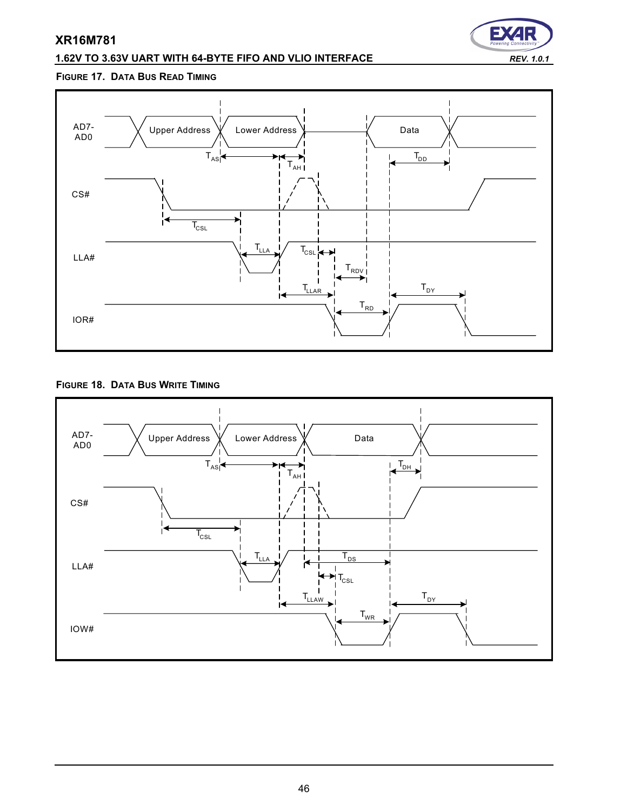# **1.62V TO 3.63V UART WITH 64-BYTE FIFO AND VLIO INTERFACE** *REV. 1.0.1*



#### **FIGURE 17. DATA BUS READ TIMING**



#### **FIGURE 18. DATA BUS WRITE TIMING**

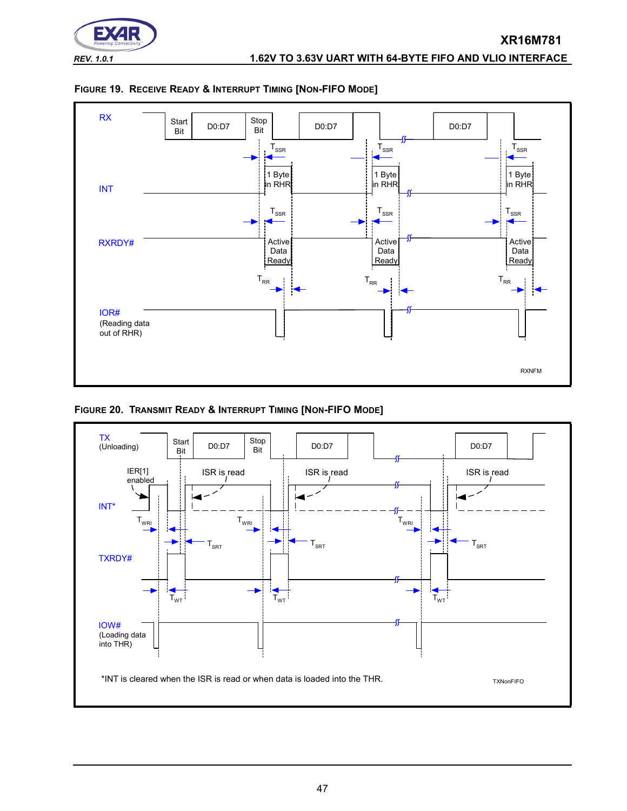



<span id="page-46-0"></span>

**FIGURE 20. TRANSMIT READY & INTERRUPT TIMING [NON-FIFO MODE]**

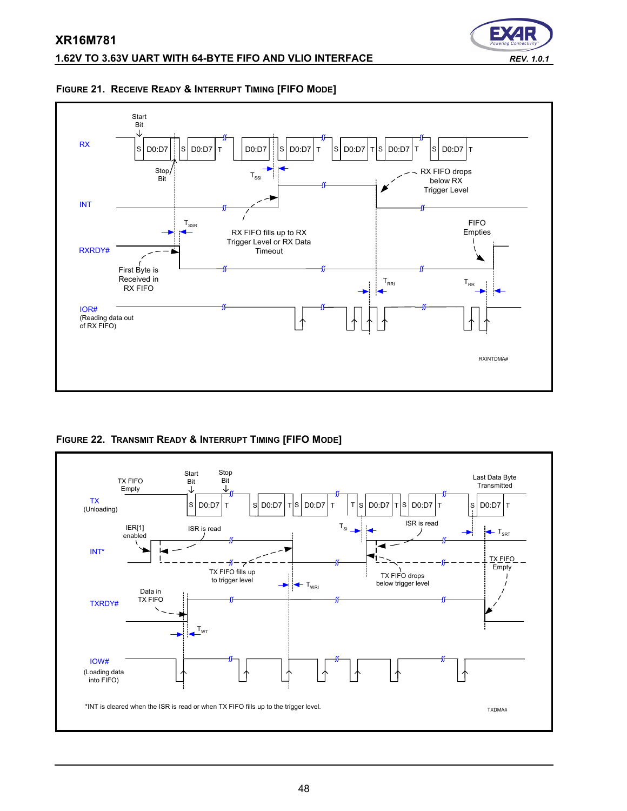

#### **FIGURE 21. RECEIVE READY & INTERRUPT TIMING [FIFO MODE]**



<span id="page-47-0"></span>**FIGURE 22. TRANSMIT READY & INTERRUPT TIMING [FIFO MODE]**

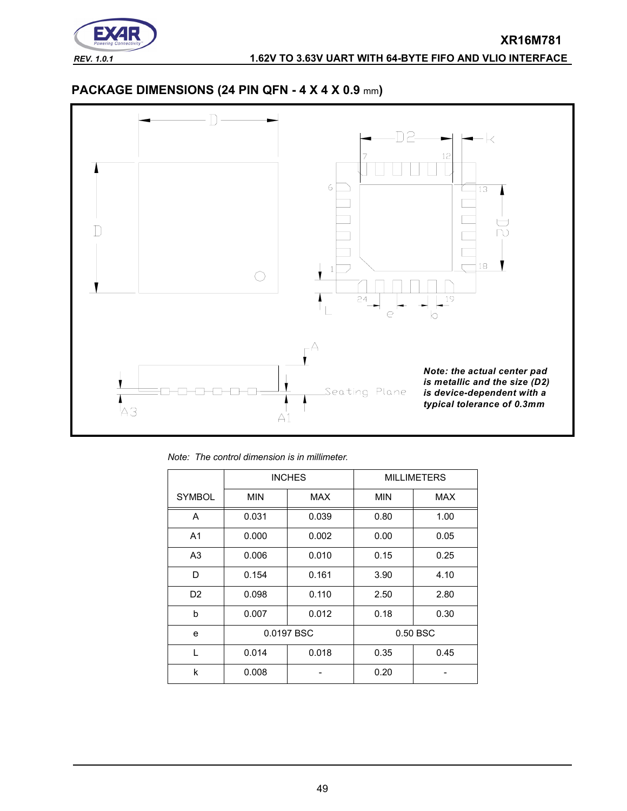

# **PACKAGE DIMENSIONS (24 PIN QFN - 4 X 4 X 0.9** mm**)**



*Note: The control dimension is in millimeter.*

|                |            | <b>INCHES</b> |            | <b>MILLIMETERS</b> |
|----------------|------------|---------------|------------|--------------------|
| <b>SYMBOL</b>  | <b>MIN</b> | <b>MAX</b>    | <b>MIN</b> | <b>MAX</b>         |
| A              | 0.031      | 0.039         | 0.80       | 1.00               |
| A <sub>1</sub> | 0.000      | 0.002         | 0.00       | 0.05               |
| A <sub>3</sub> | 0.006      | 0.010         | 0.15       | 0.25               |
| D              | 0.154      | 0.161         | 3.90       | 4.10               |
| D <sub>2</sub> | 0.098      | 0.110         | 2.50       | 2.80               |
| b              | 0.007      | 0.012         | 0.18       | 0.30               |
| e              |            | 0.0197 BSC    |            | 0.50 BSC           |
| L              | 0.014      | 0.018         | 0.35       | 0.45               |
| k              | 0.008      |               | 0.20       |                    |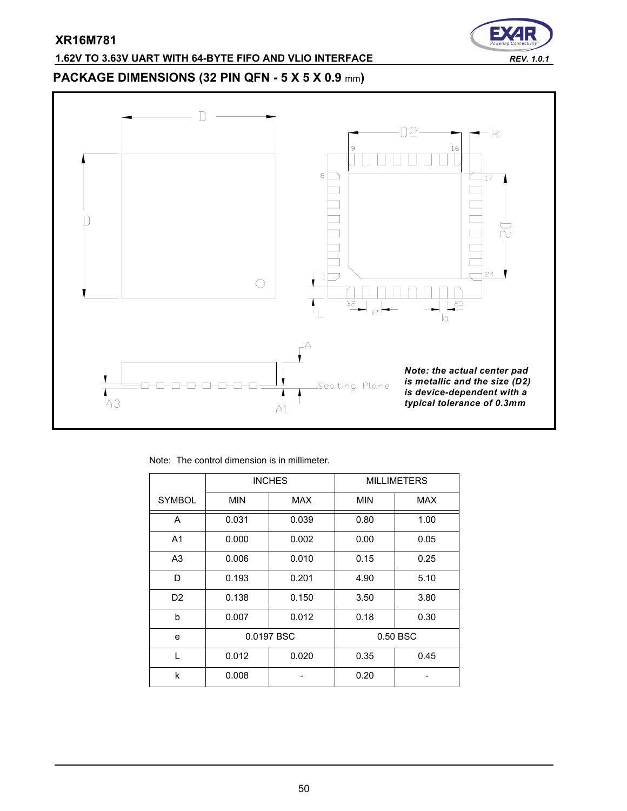# E

# **1.62V TO 3.63V UART WITH 64-BYTE FIFO AND VLIO INTERFACE** *REV. 1.0.1*

# **PACKAGE DIMENSIONS (32 PIN QFN - 5 X 5 X 0.9** mm**)**



Note: The control dimension is in millimeter.

|                |            | <b>INCHES</b> |            | <b>MILLIMETERS</b> |
|----------------|------------|---------------|------------|--------------------|
| <b>SYMBOL</b>  | <b>MIN</b> | MAX           | <b>MIN</b> | <b>MAX</b>         |
| A              | 0.031      | 0.039         | 0.80       | 1.00               |
| A <sub>1</sub> | 0.000      | 0.002         | 0.00       | 0.05               |
| A <sub>3</sub> | 0.006      | 0.010         | 0.15       | 0.25               |
| D              | 0.193      | 0.201         | 4.90       | 5.10               |
| D <sub>2</sub> | 0.138      | 0.150         | 3.50       | 3.80               |
| b              | 0.007      | 0.012         | 0.18       | 0.30               |
| e              |            | 0.0197 BSC    |            | 0.50 BSC           |
| L              | 0.012      | 0.020         | 0.35       | 0.45               |
| k              | 0.008      |               | 0.20       |                    |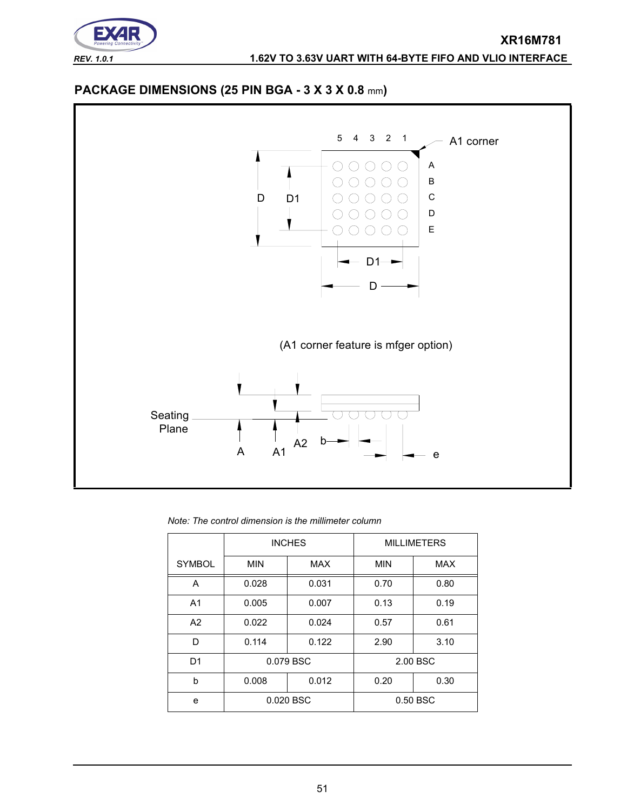

# **PACKAGE DIMENSIONS (25 PIN BGA - 3 X 3 X 0.8** mm**)**



*Note: The control dimension is the millimeter column*

|                |            | <b>INCHES</b> |            | <b>MILLIMETERS</b> |
|----------------|------------|---------------|------------|--------------------|
| <b>SYMBOL</b>  | <b>MIN</b> | <b>MAX</b>    | <b>MIN</b> | <b>MAX</b>         |
| A              | 0.028      | 0.031         | 0.70       | 0.80               |
| A <sub>1</sub> | 0.005      | 0.007         | 0.13       | 0.19               |
| A2             | 0.022      | 0.024         | 0.57       | 0.61               |
| D              | 0.114      | 0.122         | 2.90       | 3.10               |
| D <sub>1</sub> |            | 0.079 BSC     |            | 2.00 BSC           |
| b              | 0.008      | 0.012         | 0.20       | 0.30               |
| e              |            | 0.020 BSC     |            | 0.50 BSC           |